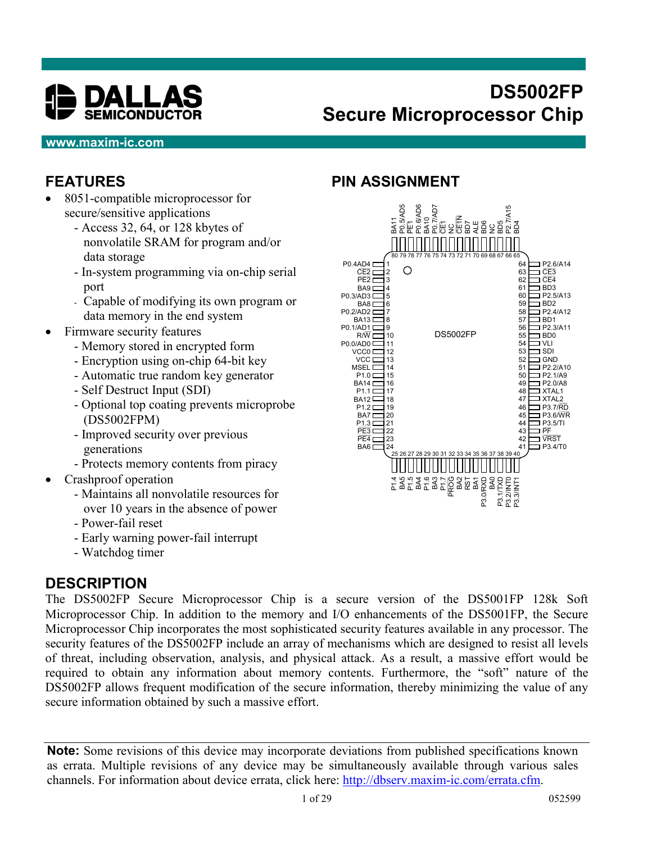

# **DS5002FP Secure Microprocessor Chip**

#### **www.maxim-ic.com**

## **FEATURES**

- 8051-compatible microprocessor for secure/sensitive applications
	- Access 32, 64, or 128 kbytes of nonvolatile SRAM for program and/or data storage
	- In-system programming via on-chip serial port
	- Capable of modifying its own program or data memory in the end system
- Firmware security features
	- Memory stored in encrypted form
	- Encryption using on-chip 64-bit key
	- Automatic true random key generator
	- Self Destruct Input (SDI)
	- Optional top coating prevents microprobe (DS5002FPM)
	- Improved security over previous generations
	- Protects memory contents from piracy
- Crashproof operation
	- Maintains all nonvolatile resources for over 10 years in the absence of power
	- Power-fail reset
	- Early warning power-fail interrupt
	- Watchdog timer

#### **DESCRIPTION**

The DS5002FP Secure Microprocessor Chip is a secure version of the DS5001FP 128k Soft Microprocessor Chip. In addition to the memory and I/O enhancements of the DS5001FP, the Secure Microprocessor Chip incorporates the most sophisticated security features available in any processor. The security features of the DS5002FP include an array of mechanisms which are designed to resist all levels of threat, including observation, analysis, and physical attack. As a result, a massive effort would be required to obtain any information about memory contents. Furthermore, the "soft" nature of the DS5002FP allows frequent modification of the secure information, thereby minimizing the value of any secure information obtained by such a massive effort.

**Note:** Some revisions of this device may incorporate deviations from published specifications known as errata. Multiple revisions of any device may be simultaneously available through various sales channels. For information about device errata, click here: http://dbserv.maxim-ic.com/errata.cfm.

### **PIN ASSIGNMENT**

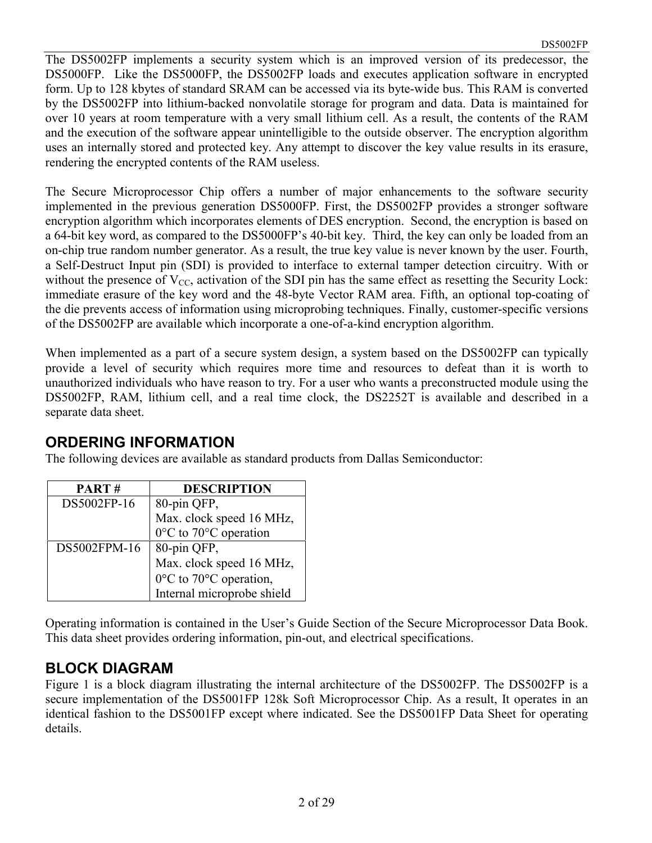The DS5002FP implements a security system which is an improved version of its predecessor, the DS5000FP. Like the DS5000FP, the DS5002FP loads and executes application software in encrypted form. Up to 128 kbytes of standard SRAM can be accessed via its byte-wide bus. This RAM is converted by the DS5002FP into lithium-backed nonvolatile storage for program and data. Data is maintained for over 10 years at room temperature with a very small lithium cell. As a result, the contents of the RAM and the execution of the software appear unintelligible to the outside observer. The encryption algorithm uses an internally stored and protected key. Any attempt to discover the key value results in its erasure, rendering the encrypted contents of the RAM useless.

The Secure Microprocessor Chip offers a number of major enhancements to the software security implemented in the previous generation DS5000FP. First, the DS5002FP provides a stronger software encryption algorithm which incorporates elements of DES encryption. Second, the encryption is based on a 64-bit key word, as compared to the DS5000FP's 40-bit key. Third, the key can only be loaded from an on-chip true random number generator. As a result, the true key value is never known by the user. Fourth, a Self-Destruct Input pin (SDI) is provided to interface to external tamper detection circuitry. With or without the presence of  $V_{CC}$ , activation of the SDI pin has the same effect as resetting the Security Lock: immediate erasure of the key word and the 48-byte Vector RAM area. Fifth, an optional top-coating of the die prevents access of information using microprobing techniques. Finally, customer-specific versions of the DS5002FP are available which incorporate a one-of-a-kind encryption algorithm.

When implemented as a part of a secure system design, a system based on the DS5002FP can typically provide a level of security which requires more time and resources to defeat than it is worth to unauthorized individuals who have reason to try. For a user who wants a preconstructed module using the DS5002FP, RAM, lithium cell, and a real time clock, the DS2252T is available and described in a separate data sheet.

#### **ORDERING INFORMATION**

The following devices are available as standard products from Dallas Semiconductor:

| PART#        | <b>DESCRIPTION</b>         |
|--------------|----------------------------|
| DS5002FP-16  | 80-pin QFP,                |
|              | Max. clock speed 16 MHz,   |
|              | 0°C to 70°C operation      |
| DS5002FPM-16 | 80-pin QFP,                |
|              | Max. clock speed 16 MHz,   |
|              | 0°C to 70°C operation,     |
|              | Internal microprobe shield |

Operating information is contained in the User's Guide Section of the Secure Microprocessor Data Book. This data sheet provides ordering information, pin-out, and electrical specifications.

#### **BLOCK DIAGRAM**

Figure 1 is a block diagram illustrating the internal architecture of the DS5002FP. The DS5002FP is a secure implementation of the DS5001FP 128k Soft Microprocessor Chip. As a result, It operates in an identical fashion to the DS5001FP except where indicated. See the DS5001FP Data Sheet for operating details.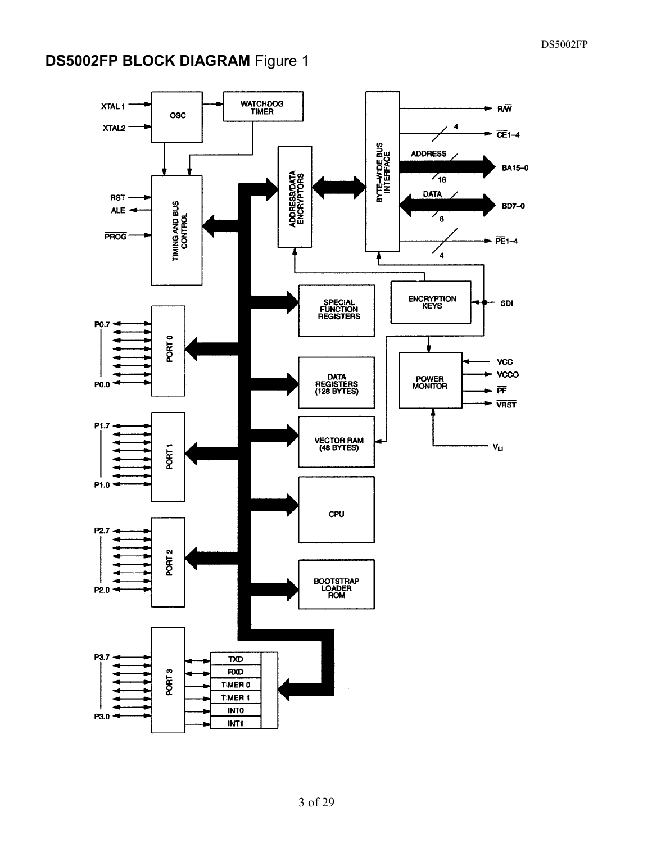#### DS5002FP

# **DS5002FP BLOCK DIAGRAM** Figure 1

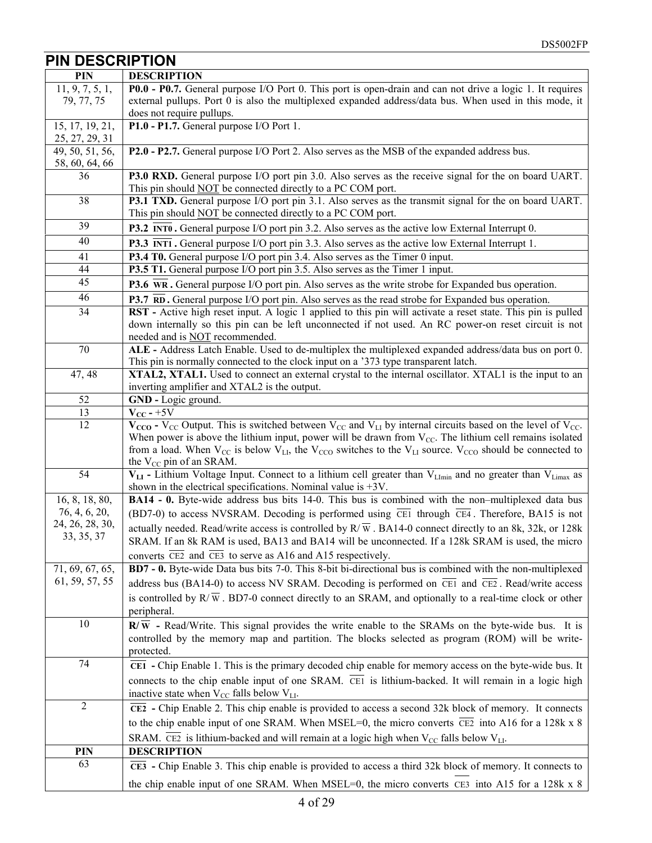| <b>PIN DESCRIPTION</b>            |                                                                                                                                                                                    |
|-----------------------------------|------------------------------------------------------------------------------------------------------------------------------------------------------------------------------------|
| <b>PIN</b>                        | <b>DESCRIPTION</b>                                                                                                                                                                 |
| 11, 9, 7, 5, 1,                   | P0.0 - P0.7. General purpose I/O Port 0. This port is open-drain and can not drive a logic 1. It requires                                                                          |
| 79, 77, 75                        | external pullups. Port 0 is also the multiplexed expanded address/data bus. When used in this mode, it                                                                             |
|                                   | does not require pullups.                                                                                                                                                          |
| 15, 17, 19, 21,<br>25, 27, 29, 31 | P1.0 - P1.7. General purpose I/O Port 1.                                                                                                                                           |
| 49, 50, 51, 56,<br>58, 60, 64, 66 | P2.0 - P2.7. General purpose I/O Port 2. Also serves as the MSB of the expanded address bus.                                                                                       |
| 36                                | <b>P3.0 RXD.</b> General purpose I/O port pin 3.0. Also serves as the receive signal for the on board UART.<br>This pin should <b>NOT</b> be connected directly to a PC COM port.  |
| 38                                | <b>P3.1 TXD.</b> General purpose I/O port pin 3.1. Also serves as the transmit signal for the on board UART.<br>This pin should <b>NOT</b> be connected directly to a PC COM port. |
| 39                                | <b>P3.2</b> INTO. General purpose I/O port pin 3.2. Also serves as the active low External Interrupt 0.                                                                            |
| 40                                | <b>P3.3</b> INT1. General purpose I/O port pin 3.3. Also serves as the active low External Interrupt 1.                                                                            |
| 41                                | P3.4 T0. General purpose I/O port pin 3.4. Also serves as the Timer 0 input.                                                                                                       |
| 44                                | <b>P3.5 T1.</b> General purpose I/O port pin 3.5. Also serves as the Timer 1 input.                                                                                                |
| 45                                | <b>P3.6</b> $\overline{WR}$ . General purpose I/O port pin. Also serves as the write strobe for Expanded bus operation.                                                            |
| 46                                | P3.7 RD. General purpose I/O port pin. Also serves as the read strobe for Expanded bus operation.                                                                                  |
| 34                                | RST - Active high reset input. A logic 1 applied to this pin will activate a reset state. This pin is pulled                                                                       |
|                                   | down internally so this pin can be left unconnected if not used. An RC power-on reset circuit is not                                                                               |
|                                   | needed and is NOT recommended.                                                                                                                                                     |
| 70                                | ALE - Address Latch Enable. Used to de-multiplex the multiplexed expanded address/data bus on port 0.                                                                              |
|                                   | This pin is normally connected to the clock input on a '373 type transparent latch.                                                                                                |
| 47, 48                            | XTAL2, XTAL1. Used to connect an external crystal to the internal oscillator. XTAL1 is the input to an                                                                             |
| 52                                | inverting amplifier and XTAL2 is the output.<br>GND - Logic ground.                                                                                                                |
| 13                                | $V_{CC}$ - +5V                                                                                                                                                                     |
| 12                                | $V_{CCO}$ - V <sub>CC</sub> Output. This is switched between V <sub>CC</sub> and V <sub>LI</sub> by internal circuits based on the level of V <sub>CC</sub> .                      |
|                                   | When power is above the lithium input, power will be drawn from $V_{CC}$ . The lithium cell remains isolated                                                                       |
|                                   | from a load. When $V_{CC}$ is below $V_{LL}$ , the $V_{CC}$ switches to the $V_{LL}$ source. $V_{CC}$ should be connected to                                                       |
|                                   | the $V_{CC}$ pin of an SRAM.                                                                                                                                                       |
| 54                                | $V_{LI}$ - Lithium Voltage Input. Connect to a lithium cell greater than V <sub>LImin</sub> and no greater than V <sub>Limax</sub> as                                              |
|                                   | shown in the electrical specifications. Nominal value is $+3V$ .                                                                                                                   |
| 16, 8, 18, 80,                    | <b>BA14 - 0.</b> Byte-wide address bus bits 14-0. This bus is combined with the non-multiplexed data bus                                                                           |
| 76, 4, 6, 20,<br>24, 26, 28, 30,  | (BD7-0) to access NVSRAM. Decoding is performed using $\overline{CE1}$ through $\overline{CE4}$ . Therefore, BA15 is not                                                           |
| 33, 35, 37                        | actually needed. Read/write access is controlled by $R/\overline{W}$ . BA14-0 connect directly to an 8k, 32k, or 128k                                                              |
|                                   | SRAM. If an 8k RAM is used, BA13 and BA14 will be unconnected. If a 128k SRAM is used, the micro                                                                                   |
|                                   | converts CE2 and CE3 to serve as A16 and A15 respectively.                                                                                                                         |
| 71, 69, 67, 65,                   | BD7 - 0. Byte-wide Data bus bits 7-0. This 8-bit bi-directional bus is combined with the non-multiplexed                                                                           |
| 61, 59, 57, 55                    | address bus (BA14-0) to access NV SRAM. Decoding is performed on $\overline{CE1}$ and $\overline{CE2}$ . Read/write access                                                         |
|                                   | is controlled by $R/\overline{W}$ . BD7-0 connect directly to an SRAM, and optionally to a real-time clock or other<br>peripheral.                                                 |
| 10                                | $\mathbb{R}/\overline{\mathbb{W}}$ - Read/Write. This signal provides the write enable to the SRAMs on the byte-wide bus. It is                                                    |
|                                   | controlled by the memory map and partition. The blocks selected as program (ROM) will be write-                                                                                    |
|                                   | protected.                                                                                                                                                                         |
| 74                                | $\overline{CE1}$ - Chip Enable 1. This is the primary decoded chip enable for memory access on the byte-wide bus. It                                                               |
|                                   | connects to the chip enable input of one SRAM. CEI is lithium-backed. It will remain in a logic high                                                                               |
|                                   | inactive state when $V_{CC}$ falls below $V_{LI}$ .                                                                                                                                |
| $\boldsymbol{2}$                  | $\overline{CE2}$ - Chip Enable 2. This chip enable is provided to access a second 32k block of memory. It connects                                                                 |
|                                   | to the chip enable input of one SRAM. When MSEL=0, the micro converts $\overline{CE2}$ into A16 for a 128k x 8                                                                     |
|                                   | SRAM. $\overline{CE2}$ is lithium-backed and will remain at a logic high when $V_{CC}$ falls below $V_{LL}$ .                                                                      |
| PIN                               | <b>DESCRIPTION</b>                                                                                                                                                                 |
| 63                                | $\overline{CE3}$ - Chip Enable 3. This chip enable is provided to access a third 32k block of memory. It connects to                                                               |
|                                   |                                                                                                                                                                                    |
|                                   | the chip enable input of one SRAM. When MSEL=0, the micro converts CE3 into A15 for a 128k x 8                                                                                     |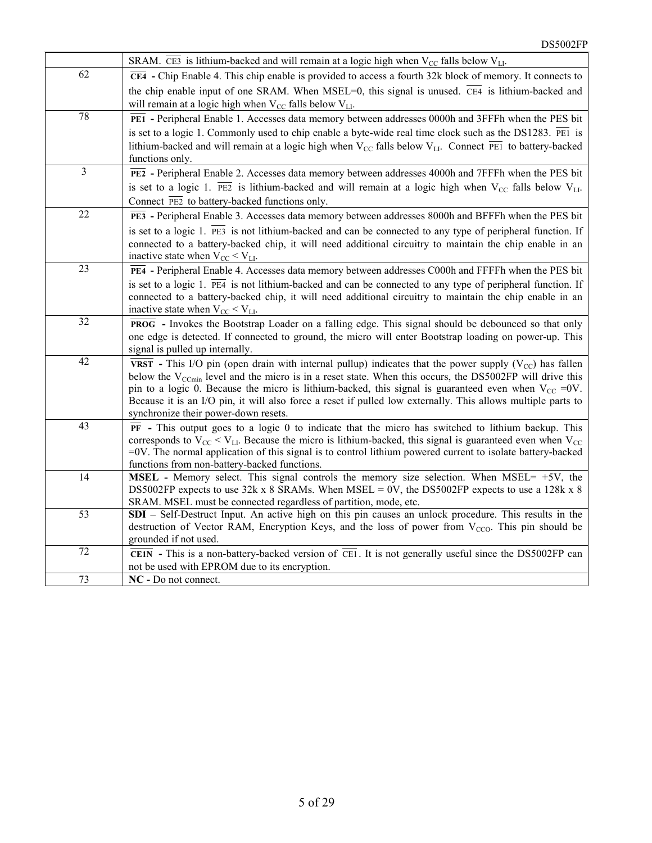|        | SRAM. $\overline{CE3}$ is lithium-backed and will remain at a logic high when $V_{CC}$ falls below $V_{LL}$ .                                                                                                                                                                                                                                                                                                                                                                                                      |
|--------|--------------------------------------------------------------------------------------------------------------------------------------------------------------------------------------------------------------------------------------------------------------------------------------------------------------------------------------------------------------------------------------------------------------------------------------------------------------------------------------------------------------------|
| 62     | $\overline{CE4}$ - Chip Enable 4. This chip enable is provided to access a fourth 32k block of memory. It connects to<br>the chip enable input of one SRAM. When MSEL=0, this signal is unused. $\overline{CE4}$ is lithium-backed and<br>will remain at a logic high when $V_{CC}$ falls below $V_{LI}$ .                                                                                                                                                                                                         |
| 78     | PEI - Peripheral Enable 1. Accesses data memory between addresses 0000h and 3FFFh when the PES bit<br>is set to a logic 1. Commonly used to chip enable a byte-wide real time clock such as the DS1283. $\overline{PE1}$ is<br>lithium-backed and will remain at a logic high when $V_{CC}$ falls below $V_{LL}$ . Connect PEI to battery-backed<br>functions only.                                                                                                                                                |
| 3      | PEZ - Peripheral Enable 2. Accesses data memory between addresses 4000h and 7FFFh when the PES bit<br>is set to a logic 1. $\overline{PE2}$ is lithium-backed and will remain at a logic high when $V_{CC}$ falls below $V_{LL}$ .<br>Connect PE2 to battery-backed functions only.                                                                                                                                                                                                                                |
| 22     | PE3 - Peripheral Enable 3. Accesses data memory between addresses 8000h and BFFFh when the PES bit<br>is set to a logic 1. $\overline{PE3}$ is not lithium-backed and can be connected to any type of peripheral function. If<br>connected to a battery-backed chip, it will need additional circuitry to maintain the chip enable in an<br>inactive state when $V_{CC}$ < $V_{LL}$ .                                                                                                                              |
| 23     | PE4 - Peripheral Enable 4. Accesses data memory between addresses C000h and FFFFh when the PES bit<br>is set to a logic 1. $\overline{PE4}$ is not lithium-backed and can be connected to any type of peripheral function. If<br>connected to a battery-backed chip, it will need additional circuitry to maintain the chip enable in an<br>inactive state when $V_{\rm CC}$ < $V_{\rm LI}$ .                                                                                                                      |
| 32     | $\overline{PROG}$ - Invokes the Bootstrap Loader on a falling edge. This signal should be debounced so that only<br>one edge is detected. If connected to ground, the micro will enter Bootstrap loading on power-up. This<br>signal is pulled up internally.                                                                                                                                                                                                                                                      |
| 42     | VRST - This I/O pin (open drain with internal pullup) indicates that the power supply ( $V_{CC}$ ) has fallen<br>below the V <sub>CCmin</sub> level and the micro is in a reset state. When this occurs, the DS5002FP will drive this<br>pin to a logic 0. Because the micro is lithium-backed, this signal is guaranteed even when $V_{\text{CC}} = 0V$ .<br>Because it is an I/O pin, it will also force a reset if pulled low externally. This allows multiple parts to<br>synchronize their power-down resets. |
| 43     | $\overline{PF}$ - This output goes to a logic 0 to indicate that the micro has switched to lithium backup. This<br>corresponds to $V_{CC}$ < $V_{LL}$ . Because the micro is lithium-backed, this signal is guaranteed even when $V_{CC}$<br>$=0V$ . The normal application of this signal is to control lithium powered current to isolate battery-backed<br>functions from non-battery-backed functions.                                                                                                         |
| 14     | MSEL - Memory select. This signal controls the memory size selection. When MSEL= +5V, the<br>DS5002FP expects to use 32k x 8 SRAMs. When MSEL = 0V, the DS5002FP expects to use a 128k x 8<br>SRAM. MSEL must be connected regardless of partition, mode, etc.                                                                                                                                                                                                                                                     |
| 53     | <b>SDI</b> – Self-Destruct Input. An active high on this pin causes an unlock procedure. This results in the<br>destruction of Vector RAM, Encryption Keys, and the loss of power from $V_{CCO}$ . This pin should be<br>grounded if not used.                                                                                                                                                                                                                                                                     |
| $72\,$ | $\overline{\text{CEIN}}$ - This is a non-battery-backed version of $\overline{\text{CEI}}$ . It is not generally useful since the DS5002FP can<br>not be used with EPROM due to its encryption.                                                                                                                                                                                                                                                                                                                    |
| 73     | NC - Do not connect.                                                                                                                                                                                                                                                                                                                                                                                                                                                                                               |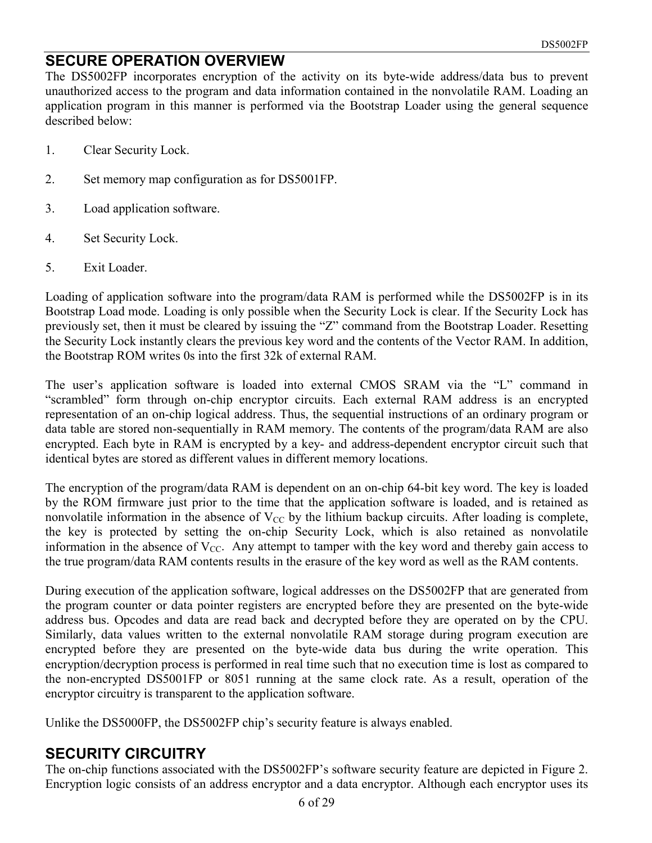#### **SECURE OPERATION OVERVIEW**

The DS5002FP incorporates encryption of the activity on its byte-wide address/data bus to prevent unauthorized access to the program and data information contained in the nonvolatile RAM. Loading an application program in this manner is performed via the Bootstrap Loader using the general sequence described below:

- 1. Clear Security Lock.
- 2. Set memory map configuration as for DS5001FP.
- 3. Load application software.
- 4. Set Security Lock.
- 5. Exit Loader.

Loading of application software into the program/data RAM is performed while the DS5002FP is in its Bootstrap Load mode. Loading is only possible when the Security Lock is clear. If the Security Lock has previously set, then it must be cleared by issuing the "Z" command from the Bootstrap Loader. Resetting the Security Lock instantly clears the previous key word and the contents of the Vector RAM. In addition, the Bootstrap ROM writes 0s into the first 32k of external RAM.

The user's application software is loaded into external CMOS SRAM via the "L" command in "scrambled" form through on-chip encryptor circuits. Each external RAM address is an encrypted representation of an on-chip logical address. Thus, the sequential instructions of an ordinary program or data table are stored non-sequentially in RAM memory. The contents of the program/data RAM are also encrypted. Each byte in RAM is encrypted by a key- and address-dependent encryptor circuit such that identical bytes are stored as different values in different memory locations.

The encryption of the program/data RAM is dependent on an on-chip 64-bit key word. The key is loaded by the ROM firmware just prior to the time that the application software is loaded, and is retained as nonvolatile information in the absence of  $V_{CC}$  by the lithium backup circuits. After loading is complete, the key is protected by setting the on-chip Security Lock, which is also retained as nonvolatile information in the absence of  $V_{CC}$ . Any attempt to tamper with the key word and thereby gain access to the true program/data RAM contents results in the erasure of the key word as well as the RAM contents.

During execution of the application software, logical addresses on the DS5002FP that are generated from the program counter or data pointer registers are encrypted before they are presented on the byte-wide address bus. Opcodes and data are read back and decrypted before they are operated on by the CPU. Similarly, data values written to the external nonvolatile RAM storage during program execution are encrypted before they are presented on the byte-wide data bus during the write operation. This encryption/decryption process is performed in real time such that no execution time is lost as compared to the non-encrypted DS5001FP or 8051 running at the same clock rate. As a result, operation of the encryptor circuitry is transparent to the application software.

Unlike the DS5000FP, the DS5002FP chip's security feature is always enabled.

#### **SECURITY CIRCUITRY**

The on-chip functions associated with the DS5002FP's software security feature are depicted in Figure 2. Encryption logic consists of an address encryptor and a data encryptor. Although each encryptor uses its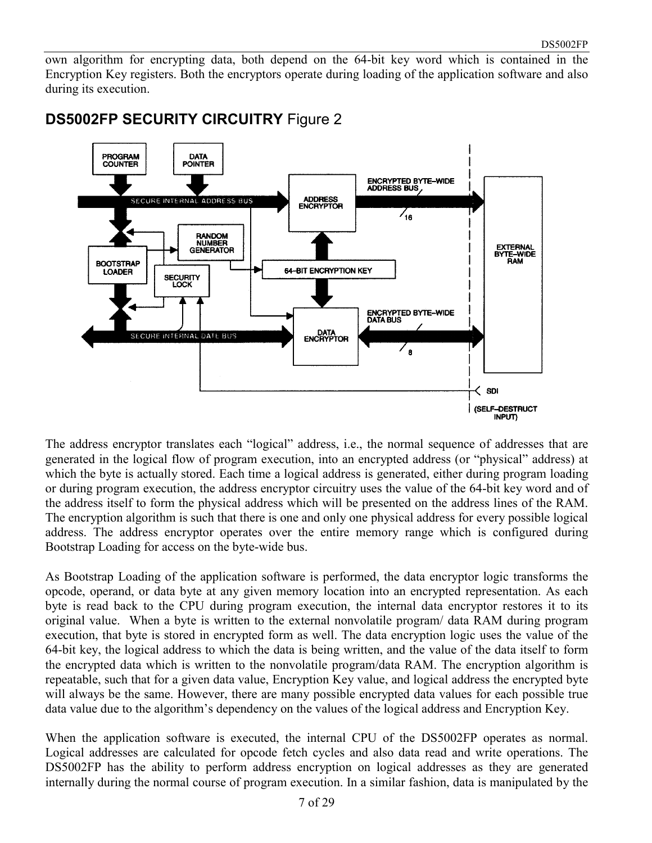own algorithm for encrypting data, both depend on the 64-bit key word which is contained in the Encryption Key registers. Both the encryptors operate during loading of the application software and also during its execution.



#### **DS5002FP SECURITY CIRCUITRY** Figure 2

The address encryptor translates each "logical" address, i.e., the normal sequence of addresses that are generated in the logical flow of program execution, into an encrypted address (or "physical" address) at which the byte is actually stored. Each time a logical address is generated, either during program loading or during program execution, the address encryptor circuitry uses the value of the 64-bit key word and of the address itself to form the physical address which will be presented on the address lines of the RAM. The encryption algorithm is such that there is one and only one physical address for every possible logical address. The address encryptor operates over the entire memory range which is configured during Bootstrap Loading for access on the byte-wide bus.

As Bootstrap Loading of the application software is performed, the data encryptor logic transforms the opcode, operand, or data byte at any given memory location into an encrypted representation. As each byte is read back to the CPU during program execution, the internal data encryptor restores it to its original value. When a byte is written to the external nonvolatile program/ data RAM during program execution, that byte is stored in encrypted form as well. The data encryption logic uses the value of the 64-bit key, the logical address to which the data is being written, and the value of the data itself to form the encrypted data which is written to the nonvolatile program/data RAM. The encryption algorithm is repeatable, such that for a given data value, Encryption Key value, and logical address the encrypted byte will always be the same. However, there are many possible encrypted data values for each possible true data value due to the algorithm's dependency on the values of the logical address and Encryption Key.

When the application software is executed, the internal CPU of the DS5002FP operates as normal. Logical addresses are calculated for opcode fetch cycles and also data read and write operations. The DS5002FP has the ability to perform address encryption on logical addresses as they are generated internally during the normal course of program execution. In a similar fashion, data is manipulated by the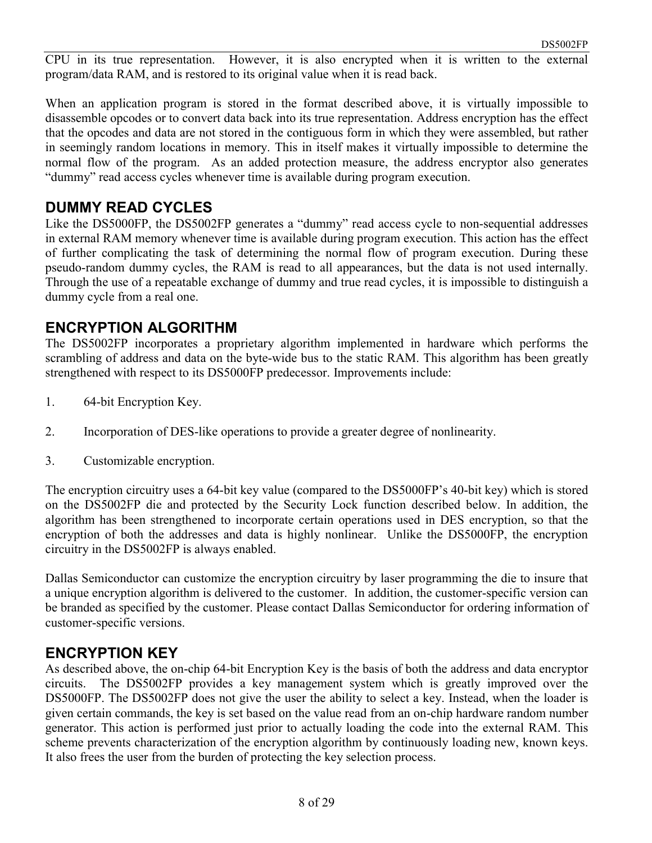CPU in its true representation. However, it is also encrypted when it is written to the external program/data RAM, and is restored to its original value when it is read back.

When an application program is stored in the format described above, it is virtually impossible to disassemble opcodes or to convert data back into its true representation. Address encryption has the effect that the opcodes and data are not stored in the contiguous form in which they were assembled, but rather in seemingly random locations in memory. This in itself makes it virtually impossible to determine the normal flow of the program. As an added protection measure, the address encryptor also generates "dummy" read access cycles whenever time is available during program execution.

#### **DUMMY READ CYCLES**

Like the DS5000FP, the DS5002FP generates a "dummy" read access cycle to non-sequential addresses in external RAM memory whenever time is available during program execution. This action has the effect of further complicating the task of determining the normal flow of program execution. During these pseudo-random dummy cycles, the RAM is read to all appearances, but the data is not used internally. Through the use of a repeatable exchange of dummy and true read cycles, it is impossible to distinguish a dummy cycle from a real one.

#### **ENCRYPTION ALGORITHM**

The DS5002FP incorporates a proprietary algorithm implemented in hardware which performs the scrambling of address and data on the byte-wide bus to the static RAM. This algorithm has been greatly strengthened with respect to its DS5000FP predecessor. Improvements include:

- 1. 64-bit Encryption Key.
- 2. Incorporation of DES-like operations to provide a greater degree of nonlinearity.
- 3. Customizable encryption.

The encryption circuitry uses a 64-bit key value (compared to the DS5000FP's 40-bit key) which is stored on the DS5002FP die and protected by the Security Lock function described below. In addition, the algorithm has been strengthened to incorporate certain operations used in DES encryption, so that the encryption of both the addresses and data is highly nonlinear. Unlike the DS5000FP, the encryption circuitry in the DS5002FP is always enabled.

Dallas Semiconductor can customize the encryption circuitry by laser programming the die to insure that a unique encryption algorithm is delivered to the customer. In addition, the customer-specific version can be branded as specified by the customer. Please contact Dallas Semiconductor for ordering information of customer-specific versions.

#### **ENCRYPTION KEY**

As described above, the on-chip 64-bit Encryption Key is the basis of both the address and data encryptor circuits. The DS5002FP provides a key management system which is greatly improved over the DS5000FP. The DS5002FP does not give the user the ability to select a key. Instead, when the loader is given certain commands, the key is set based on the value read from an on-chip hardware random number generator. This action is performed just prior to actually loading the code into the external RAM. This scheme prevents characterization of the encryption algorithm by continuously loading new, known keys. It also frees the user from the burden of protecting the key selection process.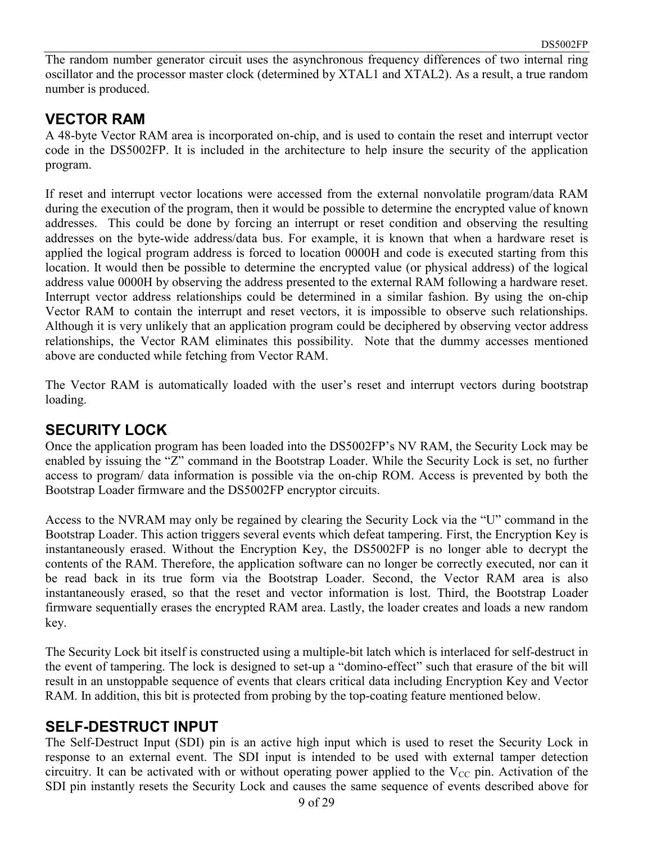The random number generator circuit uses the asynchronous frequency differences of two internal ring oscillator and the processor master clock (determined by XTAL1 and XTAL2). As a result, a true random number is produced.

#### **VECTOR RAM**

A 48-byte Vector RAM area is incorporated on-chip, and is used to contain the reset and interrupt vector code in the DS5002FP. It is included in the architecture to help insure the security of the application program.

If reset and interrupt vector locations were accessed from the external nonvolatile program/data RAM during the execution of the program, then it would be possible to determine the encrypted value of known addresses. This could be done by forcing an interrupt or reset condition and observing the resulting addresses on the byte-wide address/data bus. For example, it is known that when a hardware reset is applied the logical program address is forced to location 0000H and code is executed starting from this location. It would then be possible to determine the encrypted value (or physical address) of the logical address value 0000H by observing the address presented to the external RAM following a hardware reset. Interrupt vector address relationships could be determined in a similar fashion. By using the on-chip Vector RAM to contain the interrupt and reset vectors, it is impossible to observe such relationships. Although it is very unlikely that an application program could be deciphered by observing vector address relationships, the Vector RAM eliminates this possibility. Note that the dummy accesses mentioned above are conducted while fetching from Vector RAM.

The Vector RAM is automatically loaded with the user's reset and interrupt vectors during bootstrap loading.

#### **SECURITY LOCK**

Once the application program has been loaded into the DS5002FP's NV RAM, the Security Lock may be enabled by issuing the "Z" command in the Bootstrap Loader. While the Security Lock is set, no further access to program/ data information is possible via the on-chip ROM. Access is prevented by both the Bootstrap Loader firmware and the DS5002FP encryptor circuits.

Access to the NVRAM may only be regained by clearing the Security Lock via the "U" command in the Bootstrap Loader. This action triggers several events which defeat tampering. First, the Encryption Key is instantaneously erased. Without the Encryption Key, the DS5002FP is no longer able to decrypt the contents of the RAM. Therefore, the application software can no longer be correctly executed, nor can it be read back in its true form via the Bootstrap Loader. Second, the Vector RAM area is also instantaneously erased, so that the reset and vector information is lost. Third, the Bootstrap Loader firmware sequentially erases the encrypted RAM area. Lastly, the loader creates and loads a new random key.

The Security Lock bit itself is constructed using a multiple-bit latch which is interlaced for self-destruct in the event of tampering. The lock is designed to set-up a "domino-effect" such that erasure of the bit will result in an unstoppable sequence of events that clears critical data including Encryption Key and Vector RAM. In addition, this bit is protected from probing by the top-coating feature mentioned below.

#### **SELF-DESTRUCT INPUT**

The Self-Destruct Input (SDI) pin is an active high input which is used to reset the Security Lock in response to an external event. The SDI input is intended to be used with external tamper detection circuitry. It can be activated with or without operating power applied to the  $V_{CC}$  pin. Activation of the SDI pin instantly resets the Security Lock and causes the same sequence of events described above for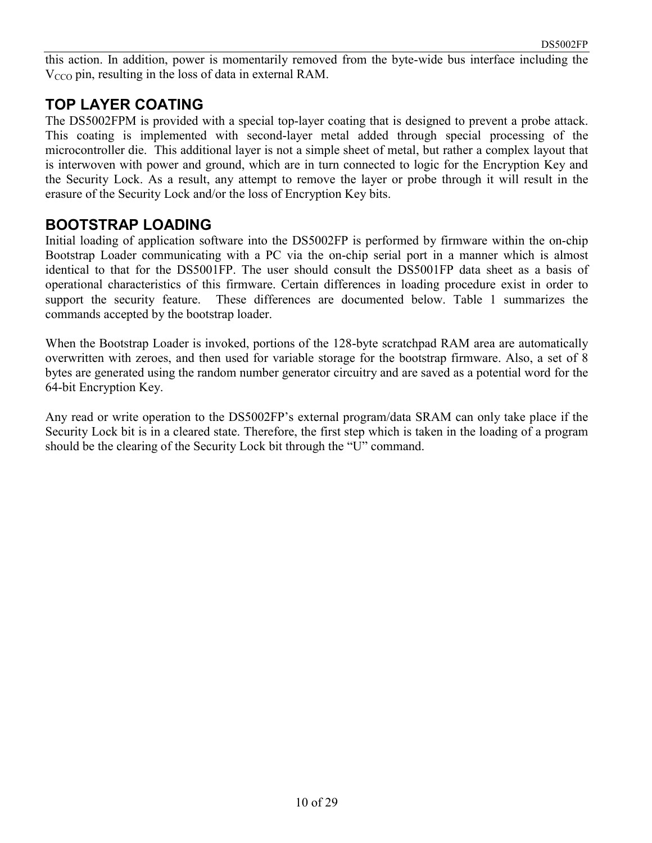this action. In addition, power is momentarily removed from the byte-wide bus interface including the  $V_{CCO}$  pin, resulting in the loss of data in external RAM.

#### **TOP LAYER COATING**

The DS5002FPM is provided with a special top-layer coating that is designed to prevent a probe attack. This coating is implemented with second-layer metal added through special processing of the microcontroller die. This additional layer is not a simple sheet of metal, but rather a complex layout that is interwoven with power and ground, which are in turn connected to logic for the Encryption Key and the Security Lock. As a result, any attempt to remove the layer or probe through it will result in the erasure of the Security Lock and/or the loss of Encryption Key bits.

#### **BOOTSTRAP LOADING**

Initial loading of application software into the DS5002FP is performed by firmware within the on-chip Bootstrap Loader communicating with a PC via the on-chip serial port in a manner which is almost identical to that for the DS5001FP. The user should consult the DS5001FP data sheet as a basis of operational characteristics of this firmware. Certain differences in loading procedure exist in order to support the security feature. These differences are documented below. Table 1 summarizes the commands accepted by the bootstrap loader.

When the Bootstrap Loader is invoked, portions of the 128-byte scratchpad RAM area are automatically overwritten with zeroes, and then used for variable storage for the bootstrap firmware. Also, a set of 8 bytes are generated using the random number generator circuitry and are saved as a potential word for the 64-bit Encryption Key.

Any read or write operation to the DS5002FP's external program/data SRAM can only take place if the Security Lock bit is in a cleared state. Therefore, the first step which is taken in the loading of a program should be the clearing of the Security Lock bit through the "U" command.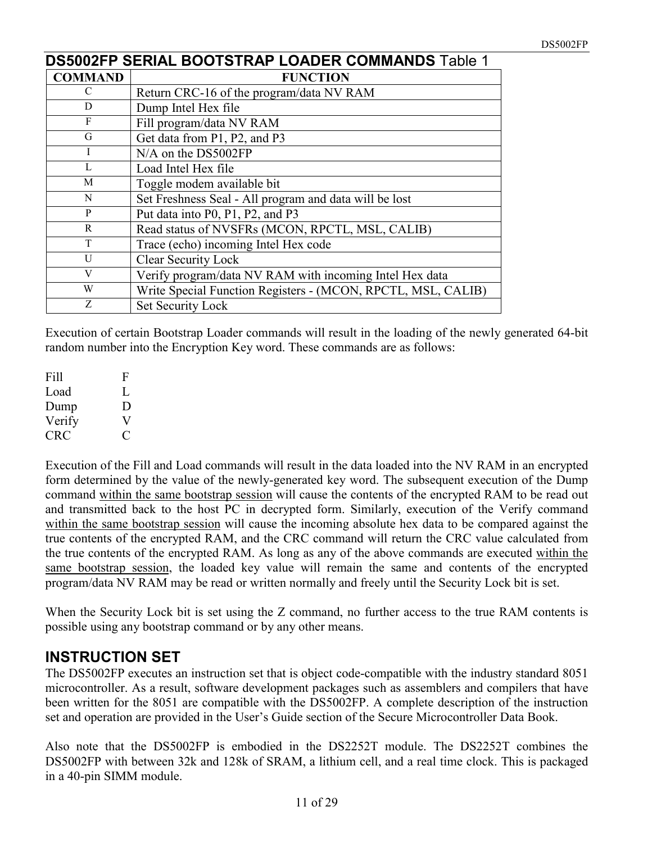|                | <b>DS5002FP SERIAL BOOTSTRAP LOADER COMMANDS Table 1</b>     |  |  |  |  |  |  |
|----------------|--------------------------------------------------------------|--|--|--|--|--|--|
| <b>COMMAND</b> | <b>FUNCTION</b>                                              |  |  |  |  |  |  |
| $\mathcal{C}$  | Return CRC-16 of the program/data NV RAM                     |  |  |  |  |  |  |
| D              | Dump Intel Hex file                                          |  |  |  |  |  |  |
| F              | Fill program/data NV RAM                                     |  |  |  |  |  |  |
| G              | Get data from P1, P2, and P3                                 |  |  |  |  |  |  |
| I              | N/A on the DS5002FP                                          |  |  |  |  |  |  |
| $\mathbf{L}$   | Load Intel Hex file                                          |  |  |  |  |  |  |
| M              | Toggle modem available bit                                   |  |  |  |  |  |  |
| N              | Set Freshness Seal - All program and data will be lost       |  |  |  |  |  |  |
| P              | Put data into P0, P1, P2, and P3                             |  |  |  |  |  |  |
| R              | Read status of NVSFRs (MCON, RPCTL, MSL, CALIB)              |  |  |  |  |  |  |
| T              | Trace (echo) incoming Intel Hex code                         |  |  |  |  |  |  |
| U              | Clear Security Lock                                          |  |  |  |  |  |  |
| V              | Verify program/data NV RAM with incoming Intel Hex data      |  |  |  |  |  |  |
| W              | Write Special Function Registers - (MCON, RPCTL, MSL, CALIB) |  |  |  |  |  |  |
| Z              | Set Security Lock                                            |  |  |  |  |  |  |

Execution of certain Bootstrap Loader commands will result in the loading of the newly generated 64-bit random number into the Encryption Key word. These commands are as follows:

| Fill   | F            |
|--------|--------------|
| Load   | L            |
| Dump   | D            |
| Verify | $\mathbf{V}$ |
| CRC    |              |

Execution of the Fill and Load commands will result in the data loaded into the NV RAM in an encrypted form determined by the value of the newly-generated key word. The subsequent execution of the Dump command within the same bootstrap session will cause the contents of the encrypted RAM to be read out and transmitted back to the host PC in decrypted form. Similarly, execution of the Verify command within the same bootstrap session will cause the incoming absolute hex data to be compared against the true contents of the encrypted RAM, and the CRC command will return the CRC value calculated from the true contents of the encrypted RAM. As long as any of the above commands are executed within the same bootstrap session, the loaded key value will remain the same and contents of the encrypted program/data NV RAM may be read or written normally and freely until the Security Lock bit is set.

When the Security Lock bit is set using the Z command, no further access to the true RAM contents is possible using any bootstrap command or by any other means.

### **INSTRUCTION SET**

The DS5002FP executes an instruction set that is object code-compatible with the industry standard 8051 microcontroller. As a result, software development packages such as assemblers and compilers that have been written for the 8051 are compatible with the DS5002FP. A complete description of the instruction set and operation are provided in the User's Guide section of the Secure Microcontroller Data Book.

Also note that the DS5002FP is embodied in the DS2252T module. The DS2252T combines the DS5002FP with between 32k and 128k of SRAM, a lithium cell, and a real time clock. This is packaged in a 40-pin SIMM module.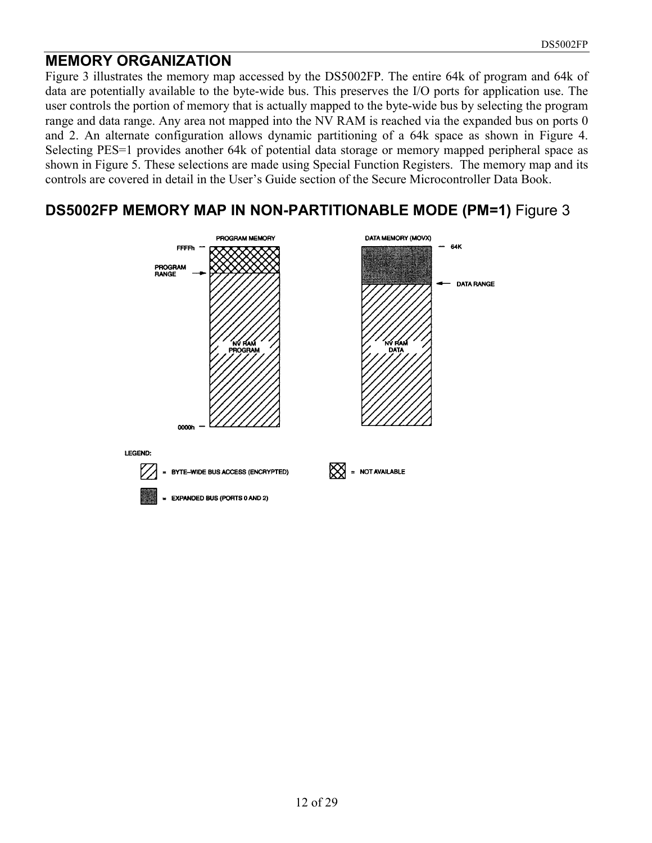#### **MEMORY ORGANIZATION**

Figure 3 illustrates the memory map accessed by the DS5002FP. The entire 64k of program and 64k of data are potentially available to the byte-wide bus. This preserves the I/O ports for application use. The user controls the portion of memory that is actually mapped to the byte-wide bus by selecting the program range and data range. Any area not mapped into the NV RAM is reached via the expanded bus on ports 0 and 2. An alternate configuration allows dynamic partitioning of a 64k space as shown in Figure 4. Selecting PES=1 provides another 64k of potential data storage or memory mapped peripheral space as shown in Figure 5. These selections are made using Special Function Registers. The memory map and its controls are covered in detail in the User's Guide section of the Secure Microcontroller Data Book.

#### **DS5002FP MEMORY MAP IN NON-PARTITIONABLE MODE (PM=1)** Figure 3

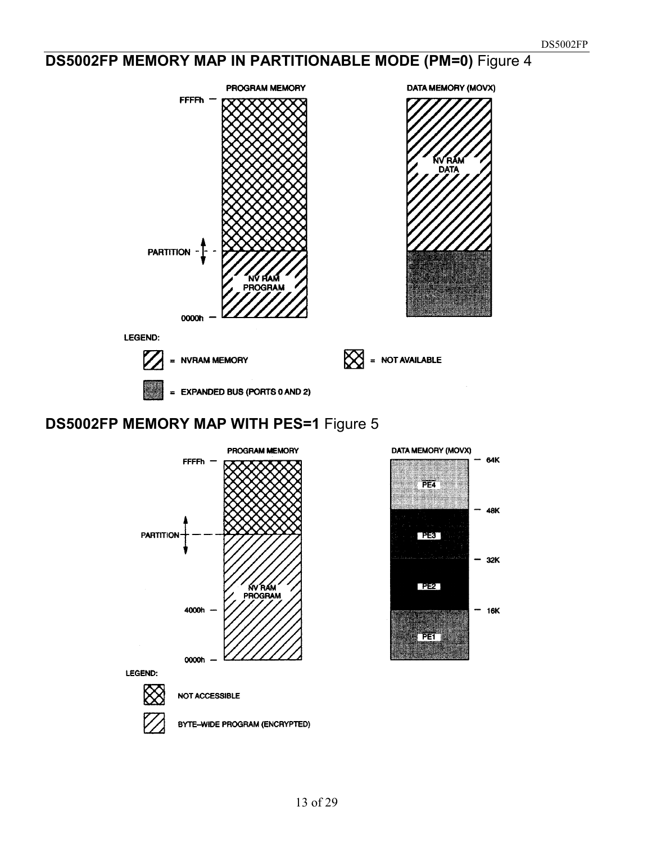# **DS5002FP MEMORY MAP IN PARTITIONABLE MODE (PM=0)** Figure 4



# **DS5002FP MEMORY MAP WITH PES=1** Figure 5

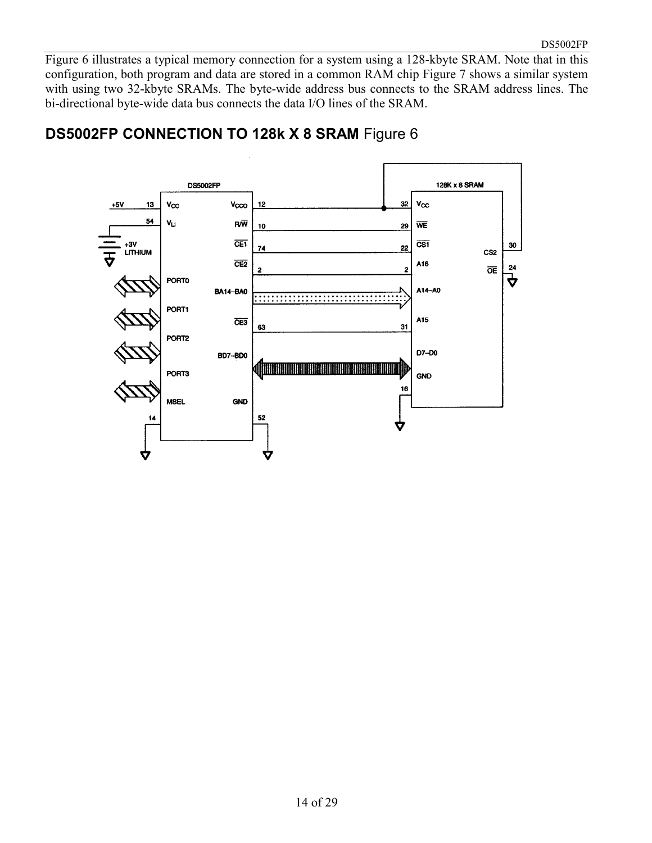Figure 6 illustrates a typical memory connection for a system using a 128-kbyte SRAM. Note that in this configuration, both program and data are stored in a common RAM chip Figure 7 shows a similar system with using two 32-kbyte SRAMs. The byte-wide address bus connects to the SRAM address lines. The bi-directional byte-wide data bus connects the data I/O lines of the SRAM.



#### **DS5002FP CONNECTION TO 128k X 8 SRAM** Figure 6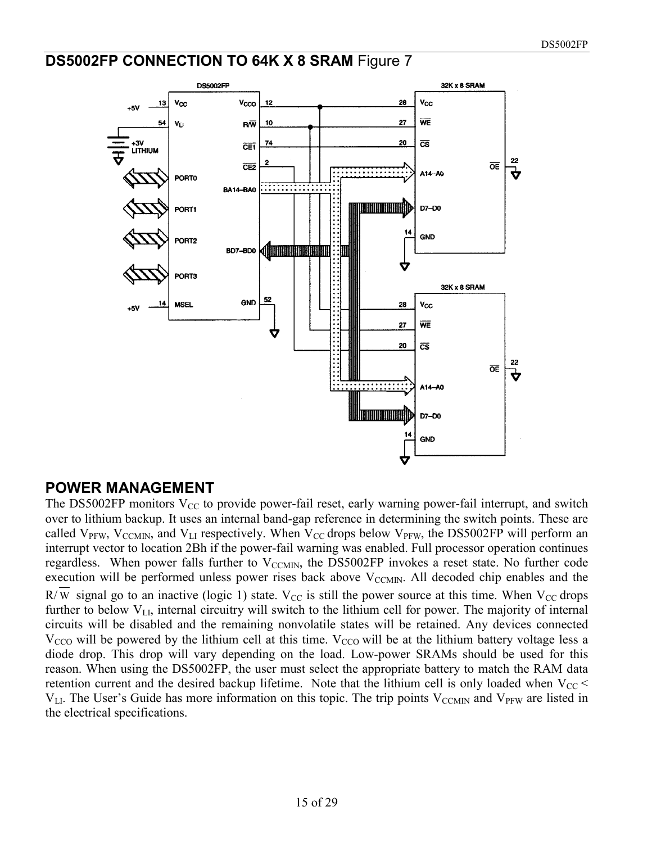#### **DS5002FP CONNECTION TO 64K X 8 SRAM** Figure 7



#### **POWER MANAGEMENT**

The DS5002FP monitors  $V_{CC}$  to provide power-fail reset, early warning power-fail interrupt, and switch over to lithium backup. It uses an internal band-gap reference in determining the switch points. These are called  $V_{PFW}$ ,  $V_{CCMIN}$ , and  $V_{LI}$  respectively. When  $V_{CC}$  drops below  $V_{PFW}$ , the DS5002FP will perform an interrupt vector to location 2Bh if the power-fail warning was enabled. Full processor operation continues regardless. When power falls further to  $V_{\text{CCMIN}}$ , the DS5002FP invokes a reset state. No further code execution will be performed unless power rises back above  $V_{\text{CCMIN}}$ . All decoded chip enables and the R/W signal go to an inactive (logic 1) state.  $V_{CC}$  is still the power source at this time. When  $V_{CC}$  drops further to below  $V_{LL}$ , internal circuitry will switch to the lithium cell for power. The majority of internal circuits will be disabled and the remaining nonvolatile states will be retained. Any devices connected  $V_{\rm CCO}$  will be powered by the lithium cell at this time.  $V_{\rm CCO}$  will be at the lithium battery voltage less a diode drop. This drop will vary depending on the load. Low-power SRAMs should be used for this reason. When using the DS5002FP, the user must select the appropriate battery to match the RAM data retention current and the desired backup lifetime. Note that the lithium cell is only loaded when  $V_{CC}$  $V_{LL}$ . The User's Guide has more information on this topic. The trip points  $V_{CCMIN}$  and  $V_{PFW}$  are listed in the electrical specifications.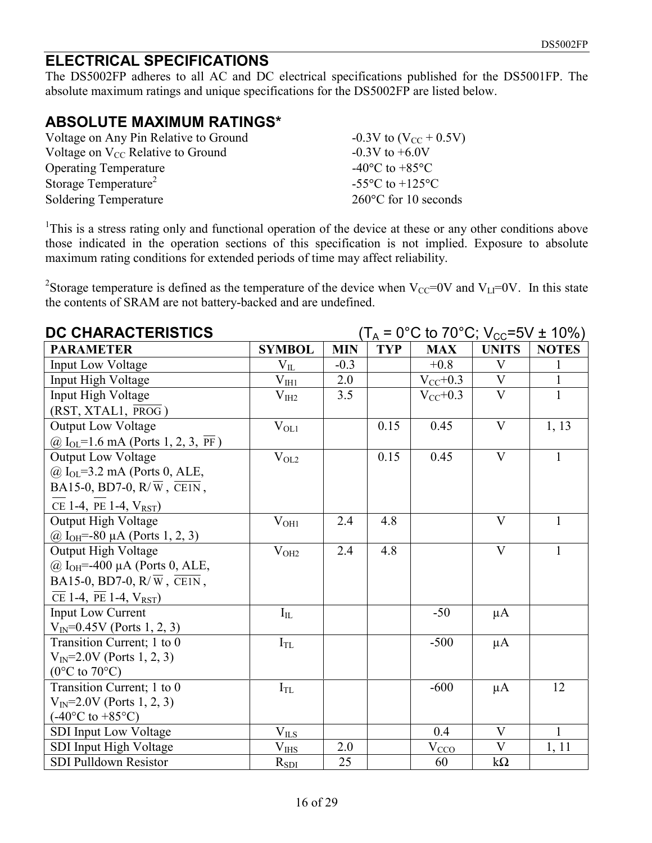### **ELECTRICAL SPECIFICATIONS**

The DS5002FP adheres to all AC and DC electrical specifications published for the DS5001FP. The absolute maximum ratings and unique specifications for the DS5002FP are listed below.

## **ABSOLUTE MAXIMUM RATINGS\***

| Voltage on Any Pin Relative to Ground  | $-0.3V$ to $(V_{CC} + 0.5V)$         |
|----------------------------------------|--------------------------------------|
| Voltage on $V_{CC}$ Relative to Ground | $-0.3V$ to $+6.0V$                   |
| <b>Operating Temperature</b>           | -40 $^{\circ}$ C to +85 $^{\circ}$ C |
| Storage Temperature <sup>2</sup>       | $-55^{\circ}$ C to $+125^{\circ}$ C  |
| Soldering Temperature                  | $260^{\circ}$ C for 10 seconds       |

<sup>1</sup>This is a stress rating only and functional operation of the device at these or any other conditions above those indicated in the operation sections of this specification is not implied. Exposure to absolute maximum rating conditions for extended periods of time may affect reliability.

<sup>2</sup>Storage temperature is defined as the temperature of the device when  $V_{CC}=0V$  and  $V_{LI}=0V$ . In this state the contents of SRAM are not battery-backed and are undefined.

| DC CHARACTERISTICS                                                         |                   | $(T_A = 0^{\circ}C \text{ to } 70^{\circ}C; V_{CC} = 5V \pm 10\%)$ |            |                       |                         |              |
|----------------------------------------------------------------------------|-------------------|--------------------------------------------------------------------|------------|-----------------------|-------------------------|--------------|
| <b>PARAMETER</b>                                                           | <b>SYMBOL</b>     | <b>MIN</b>                                                         | <b>TYP</b> | <b>MAX</b>            | <b>UNITS</b>            | <b>NOTES</b> |
| <b>Input Low Voltage</b>                                                   | $V_{IL}$          | $-0.3$                                                             |            | $+0.8$                | V                       | 1            |
| Input High Voltage                                                         | $V_{\rm IHI}$     | 2.0                                                                |            | $V_{CC}$ +0.3         | $\mathbf V$             | $\mathbf{1}$ |
| Input High Voltage                                                         | $\rm V_{III2}$    | 3.5                                                                |            | $V_{CC}$ +0.3         | $\mathbf V$             | $\mathbf{1}$ |
| $(RST, XTAL1, \overline{PROG})$                                            |                   |                                                                    |            |                       |                         |              |
| Output Low Voltage                                                         | $\rm V_{OL1}$     |                                                                    | 0.15       | 0.45                  | $\overline{\mathbf{V}}$ | 1, 13        |
| @ $I_{OL} = 1.6$ mA (Ports 1, 2, 3, PF)                                    |                   |                                                                    |            |                       |                         |              |
| Output Low Voltage                                                         | $\rm V_{OL2}$     |                                                                    | 0.15       | 0.45                  | $\mathbf{V}$            | $\mathbf{1}$ |
| $@$ I <sub>OL</sub> =3.2 mA (Ports 0, ALE,                                 |                   |                                                                    |            |                       |                         |              |
| BA15-0, BD7-0, $R/\overline{W}$ , $\overline{C E1N}$ ,                     |                   |                                                                    |            |                       |                         |              |
| CE 1-4, PE 1-4, $V_{RST}$ )                                                |                   |                                                                    |            |                       |                         |              |
| Output High Voltage                                                        | $\rm V_{OH1}$     | 2.4                                                                | 4.8        |                       | $\overline{\mathbf{V}}$ | $\mathbf{1}$ |
| @ $I_{OH}=-80 \mu A$ (Ports 1, 2, 3)                                       |                   |                                                                    |            |                       |                         |              |
| Output High Voltage                                                        | $\rm V_{OH2}$     | 2.4                                                                | 4.8        |                       | $\mathbf{V}$            | $\mathbf{1}$ |
| $@$ I <sub>OH</sub> =-400 μA (Ports 0, ALE,                                |                   |                                                                    |            |                       |                         |              |
| BA15-0, BD7-0, R/ $\overline{W}$ , CE1N,                                   |                   |                                                                    |            |                       |                         |              |
| $\overline{\text{CE}}$ 1-4, $\overline{\text{PE}}$ 1-4, $V_{\text{RST}}$ ) |                   |                                                                    |            |                       |                         |              |
| <b>Input Low Current</b>                                                   | $I_{IL}$          |                                                                    |            | $-50$                 | $\mu A$                 |              |
| $V_{IN} = 0.45V$ (Ports 1, 2, 3)                                           |                   |                                                                    |            |                       |                         |              |
| Transition Current; 1 to 0                                                 | $I_{TL}$          |                                                                    |            | $-500$                | $\mu A$                 |              |
| $V_{IN}$ =2.0V (Ports 1, 2, 3)                                             |                   |                                                                    |            |                       |                         |              |
| $(0^{\circ}$ C to 70 $^{\circ}$ C)                                         |                   |                                                                    |            |                       |                         |              |
| Transition Current; 1 to 0                                                 | $I_{TL}$          |                                                                    |            | $-600$                | $\mu A$                 | 12           |
| $V_{IN} = 2.0V$ (Ports 1, 2, 3)                                            |                   |                                                                    |            |                       |                         |              |
| $(-40^{\circ}C \text{ to } +85^{\circ}C)$                                  |                   |                                                                    |            |                       |                         |              |
| SDI Input Low Voltage                                                      | $\rm V_{\rm ILS}$ |                                                                    |            | 0.4                   | V                       | $\mathbf{1}$ |
| SDI Input High Voltage                                                     | $V_{IHS}$         | 2.0                                                                |            | $V_{\underline{CCO}}$ | V                       | 1, 11        |
| SDI Pulldown Resistor                                                      | $R_{SDI}$         | 25                                                                 |            | 60                    | $k\Omega$               |              |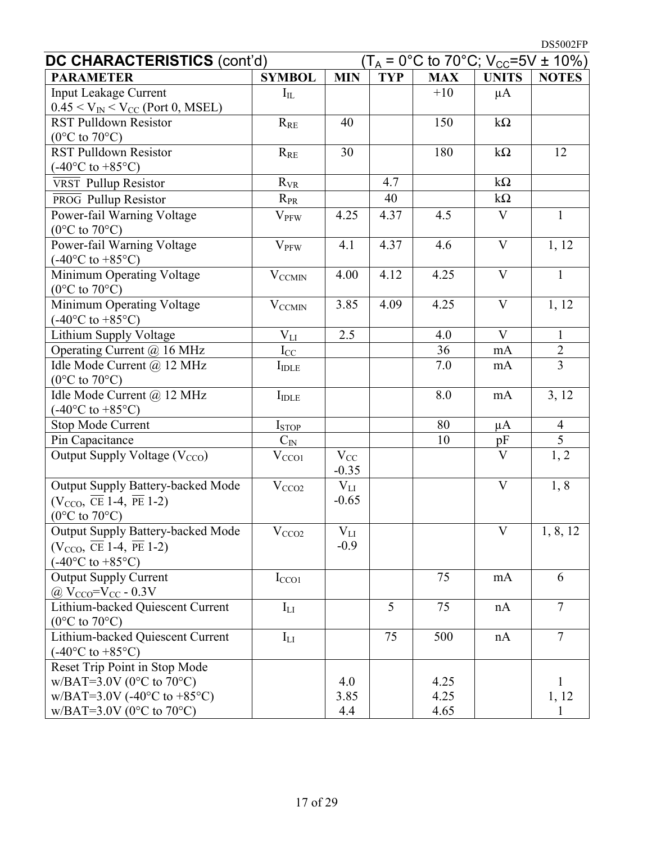DS5002FP

| DC CHARACTERISTICS (cont'd)                                                          |                          |                   | $(T_A = 0^{\circ}C \text{ to } 70^{\circ}C; V_{CC} = 5V \pm 10\%)$ |            |                         |                |
|--------------------------------------------------------------------------------------|--------------------------|-------------------|--------------------------------------------------------------------|------------|-------------------------|----------------|
| <b>PARAMETER</b>                                                                     | <b>SYMBOL</b>            | <b>MIN</b>        | <b>TYP</b>                                                         | <b>MAX</b> | <b>UNITS</b>            | <b>NOTES</b>   |
| <b>Input Leakage Current</b>                                                         | $I_{IL}$                 |                   |                                                                    | $+10$      | $\mu A$                 |                |
| $0.45 < V_{IN} < V_{CC}$ (Port 0, MSEL)                                              |                          |                   |                                                                    |            |                         |                |
| <b>RST Pulldown Resistor</b>                                                         | $R_{RE}$                 | 40                |                                                                    | 150        | $k\Omega$               |                |
| $(0^{\circ}$ C to 70 $^{\circ}$ C)                                                   |                          |                   |                                                                    |            |                         |                |
| <b>RST Pulldown Resistor</b>                                                         | $R_{RE}$                 | 30                |                                                                    | 180        | $k\Omega$               | 12             |
| $(-40^{\circ}C \text{ to } +85^{\circ}C)$                                            |                          |                   |                                                                    |            |                         |                |
| VRST Pullup Resistor                                                                 | $R_{VR}$                 |                   | 4.7                                                                |            | $k\Omega$               |                |
| PROG Pullup Resistor                                                                 | $R_{PR}$                 |                   | 40                                                                 |            | $k\Omega$               |                |
| Power-fail Warning Voltage                                                           | $V_{PFW}$                | 4.25              | 4.37                                                               | 4.5        | $\mathbf{V}$            | $\mathbf{1}$   |
| $(0^{\circ}$ C to 70 $^{\circ}$ C)                                                   |                          |                   |                                                                    |            |                         |                |
| Power-fail Warning Voltage                                                           | <b>V<sub>PFW</sub></b>   | 4.1               | 4.37                                                               | 4.6        | V                       | 1, 12          |
| $(-40^{\circ}C \text{ to } +85^{\circ}C)$                                            |                          |                   |                                                                    |            |                         |                |
| Minimum Operating Voltage                                                            | <b>VCCMIN</b>            | 4.00              | 4.12                                                               | 4.25       | $\overline{\mathsf{V}}$ | $\mathbf{1}$   |
| $(0^{\circ}$ C to 70 $^{\circ}$ C)<br>Minimum Operating Voltage                      |                          | $\overline{3.85}$ | 4.09                                                               | 4.25       | $\overline{\mathbf{V}}$ | 1, 12          |
| $(-40^{\circ}C \text{ to } +85^{\circ}C)$                                            | $\rm V_{CCMIN}$          |                   |                                                                    |            |                         |                |
| Lithium Supply Voltage                                                               | $V_{LI}$                 | 2.5               |                                                                    | 4.0        | V                       | $\mathbf{1}$   |
| Operating Current @ 16 MHz                                                           | $I_{\rm CC}$             |                   |                                                                    | 36         | mA                      |                |
| Idle Mode Current @ 12 MHz                                                           | $I_{\text{IDLE}}$        |                   |                                                                    | 7.0        | mA                      | $\frac{2}{3}$  |
| $(0^{\circ}$ C to $70^{\circ}$ C)                                                    |                          |                   |                                                                    |            |                         |                |
| Idle Mode Current @ 12 MHz                                                           | $I_{\text{IDLE}}$        |                   |                                                                    | 8.0        | mA                      | 3, 12          |
| $(-40^{\circ}C \text{ to } +85^{\circ}C)$                                            |                          |                   |                                                                    |            |                         |                |
| <b>Stop Mode Current</b>                                                             | <b>I</b> <sub>STOP</sub> |                   |                                                                    | 80         | $\mu A$                 | $\overline{4}$ |
| Pin Capacitance                                                                      | $C_{\rm IN}$             |                   |                                                                    | 10         | pF                      | $\overline{5}$ |
| Output Supply Voltage (V <sub>CCO</sub> )                                            | V <sub>CCO1</sub>        | $V_{CC}$          |                                                                    |            | $\overline{\mathsf{V}}$ | 1, 2           |
|                                                                                      |                          | $-0.35$           |                                                                    |            |                         |                |
| Output Supply Battery-backed Mode                                                    | V <sub>CCO2</sub>        | $V_{LI}$          |                                                                    |            | $\mathbf{V}$            | 1, 8           |
| $(V_{\text{CCO}}, \overline{\text{CE}} 1\text{-}4, \overline{\text{PE}} 1\text{-}2)$ |                          | $-0.65$           |                                                                    |            |                         |                |
| $(0^{\circ}C \text{ to } 70^{\circ}C)$                                               |                          |                   |                                                                    |            |                         |                |
| <b>Output Supply Battery-backed Mode</b>                                             | $\overline{V_{CCO2}}$    | $\rm V_{LI}$      |                                                                    |            |                         | 1, 8, 12       |
| $(V_{CCO}, \overline{\text{CE}} 1-4, \overline{\text{PE}} 1-2)$                      |                          | $-0.9$            |                                                                    |            |                         |                |
| $(-40^{\circ}C \text{ to } +85^{\circ}C)$                                            |                          |                   |                                                                    |            |                         |                |
| <b>Output Supply Current</b>                                                         | I <sub>CCO1</sub>        |                   |                                                                    | 75         | mA                      | 6              |
| @ $V_{CCO} = V_{CC} - 0.3V$                                                          |                          |                   |                                                                    |            |                         |                |
| Lithium-backed Quiescent Current                                                     | $I_{LI}$                 |                   | 5                                                                  | 75         | nA                      | $\overline{7}$ |
| $(0^{\circ}$ C to 70 $^{\circ}$ C)                                                   |                          |                   |                                                                    |            |                         |                |
| Lithium-backed Quiescent Current                                                     | $\mathbf{I}_{\text{LI}}$ |                   | 75                                                                 | 500        | nA                      | $\overline{7}$ |
| $(-40^{\circ}C \text{ to } +85^{\circ}C)$                                            |                          |                   |                                                                    |            |                         |                |
| Reset Trip Point in Stop Mode<br>$W/BAT=3.0V$ (0°C to 70°C)                          |                          | 4.0               |                                                                    | 4.25       |                         | 1              |
| $W/BAT=3.0V$ (-40°C to +85°C)                                                        |                          | 3.85              |                                                                    | 4.25       |                         | 1, 12          |
| $W/BAT=3.0V (0°C to 70°C)$                                                           |                          | 4.4               |                                                                    | 4.65       |                         |                |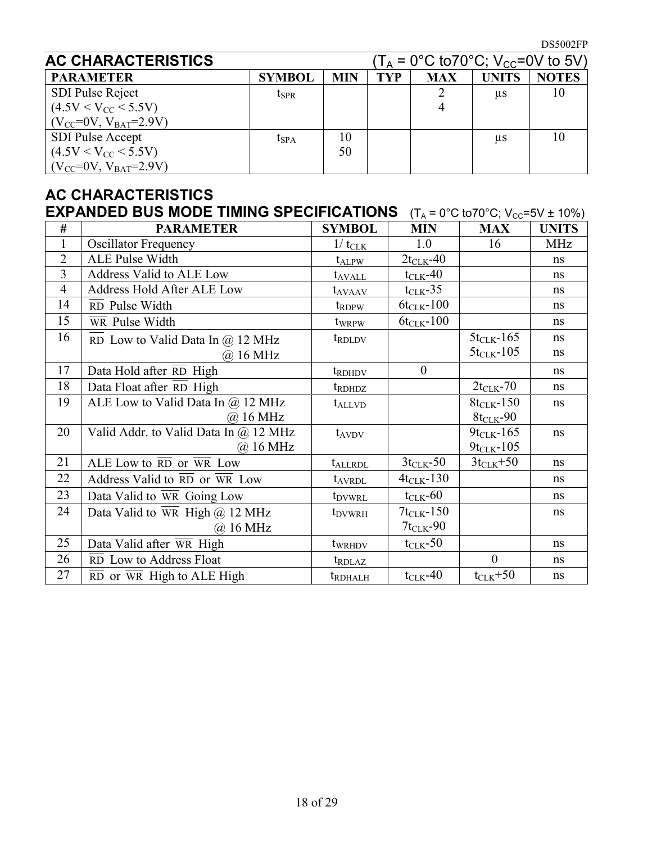| <b>AC CHARACTERISTICS</b>       |               |            |            | (T <sub>A</sub> = 0°C to70°C; V <sub>CC</sub> =0V to 5V) |              |              |
|---------------------------------|---------------|------------|------------|----------------------------------------------------------|--------------|--------------|
| <b>PARAMETER</b>                | <b>SYMBOL</b> | <b>MIN</b> | <b>TYP</b> | <b>MAX</b>                                               | <b>UNITS</b> | <b>NOTES</b> |
| SDI Pulse Reject                | $t_{\rm SPR}$ |            |            |                                                          | us           | 10           |
| $(4.5V < V_{CC} < 5.5V)$        |               |            |            |                                                          |              |              |
| $(V_{CC} = 0V, V_{BAT} = 2.9V)$ |               |            |            |                                                          |              |              |
| <b>SDI Pulse Accept</b>         | $t_{\rm SPA}$ | 10         |            |                                                          | μs           | 10           |
| $(4.5V < V_{CC} < 5.5V)$        |               | 50         |            |                                                          |              |              |
| $(V_{CC} = 0V, V_{BAT} = 2.9V)$ |               |            |            |                                                          |              |              |

# **AC CHARACTERISTICS**

|                | <b>EXPANDED BUS MODE TIMING SPECIFICATIONS</b><br>$(T_A = 0^{\circ}C \text{ to } 70^{\circ}C; V_{CC} = 5V \pm 10\%)$ |                    |                      |                  |              |  |  |
|----------------|----------------------------------------------------------------------------------------------------------------------|--------------------|----------------------|------------------|--------------|--|--|
| #              | <b>PARAMETER</b>                                                                                                     | <b>SYMBOL</b>      | <b>MIN</b>           | <b>MAX</b>       | <b>UNITS</b> |  |  |
| $\mathbf{1}$   | <b>Oscillator Frequency</b>                                                                                          | $1/t_{\text{CLK}}$ | 1.0                  | 16               | <b>MHz</b>   |  |  |
| $\overline{2}$ | <b>ALE Pulse Width</b>                                                                                               | $t_{ALPW}$         | $2t_{CLK}$ -40       |                  | ns           |  |  |
| 3              | Address Valid to ALE Low                                                                                             | t <sub>avall</sub> | $t_{\text{CLK}}$ -40 |                  | ns           |  |  |
| $\overline{4}$ | Address Hold After ALE Low                                                                                           | t <sub>avaav</sub> | $t_{CLK}$ -35        |                  | ns           |  |  |
| 14             | $\overline{RD}$ Pulse Width                                                                                          | $t_{\rm RDPW}$     | $6t_{CLK}$ -100      |                  | ns           |  |  |
| 15             | $\overline{WR}$ Pulse Width                                                                                          | twrpw              | $6t_{CLK} - 100$     |                  | ns           |  |  |
| 16             | RD Low to Valid Data In $\omega$ 12 MHz                                                                              | t <sub>RDLDV</sub> |                      | $5t_{CLK} - 165$ | ns           |  |  |
|                | $(a)$ 16 MHz                                                                                                         |                    |                      | $5t_{CLK}$ -105  | ns           |  |  |
| 17             | Data Hold after RD High                                                                                              | t <sub>RDHDV</sub> | $\overline{0}$       |                  | ns           |  |  |
| 18             | Data Float after $\overline{RD}$ High                                                                                | $t_{RDHDZ}$        |                      | $2t_{CLK}$ -70   | ns           |  |  |
| 19             | ALE Low to Valid Data In $\omega$ 12 MHz                                                                             | $t_{\text{ALLVD}}$ |                      | $8t_{CLK} - 150$ | ns           |  |  |
|                | $(a)$ 16 MHz                                                                                                         |                    |                      | $8t_{CLK} - 90$  |              |  |  |
| 20             | Valid Addr. to Valid Data In $\omega$ 12 MHz                                                                         | $t_{AVDV}$         |                      | $9t_{CLK} - 165$ | ns           |  |  |
|                | $(a)$ 16 MHz                                                                                                         |                    |                      | $9t_{CLK}$ -105  |              |  |  |
| 21             | ALE Low to RD or WR Low                                                                                              | <b>t</b> ALLRDL    | $3t_{CLK}$ -50       | $3t_{CLK} + 50$  | ns           |  |  |
| 22             | Address Valid to RD or WR Low                                                                                        | t <sub>AVRDL</sub> | $4t_{CLK} - 130$     |                  | ns           |  |  |
| 23             | Data Valid to WR Going Low                                                                                           | t <sub>DVWRL</sub> | $t_{CLK}$ -60        |                  | ns           |  |  |
| 24             | Data Valid to $\overline{WR}$ High @ 12 MHz                                                                          | t <sub>DVWRH</sub> | $7t_{CLK}$ -150      |                  | ns           |  |  |
|                | @ 16 MHz                                                                                                             |                    | $7t_{CLK}$ -90       |                  |              |  |  |
| 25             | Data Valid after WR High                                                                                             | twrhdy             | $t_{\text{CLK}}$ -50 |                  | ns           |  |  |
| 26             | $\overline{RD}$ Low to Address Float                                                                                 | t <sub>rdlaz</sub> |                      | $\mathbf{0}$     | ns           |  |  |
| 27             | $\overline{RD}$ or $\overline{WR}$ High to ALE High                                                                  | <b>t</b> RDHALH    | $t_{CLK}$ -40        | $t_{CLK} + 50$   | ns           |  |  |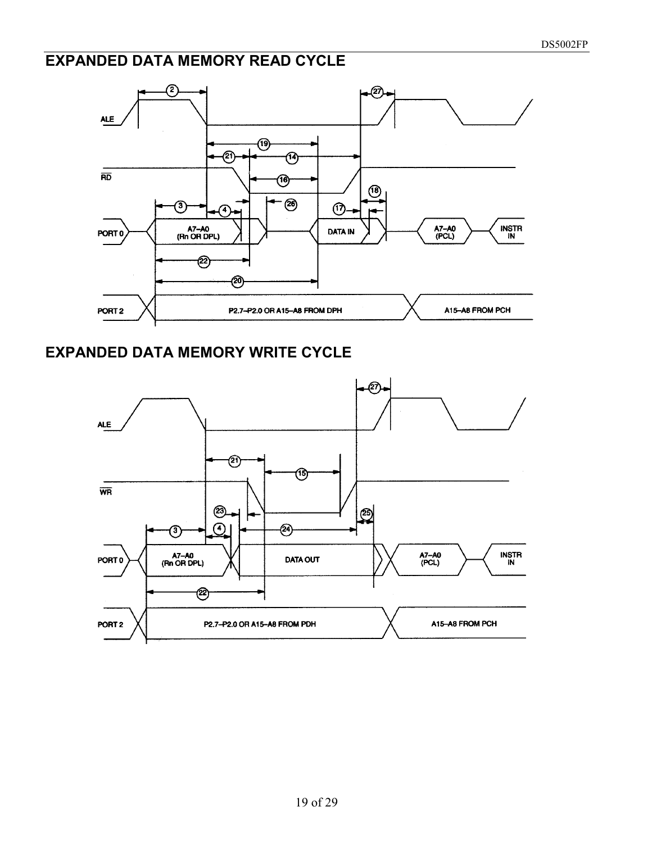## **EXPANDED DATA MEMORY READ CYCLE**



#### **EXPANDED DATA MEMORY WRITE CYCLE**

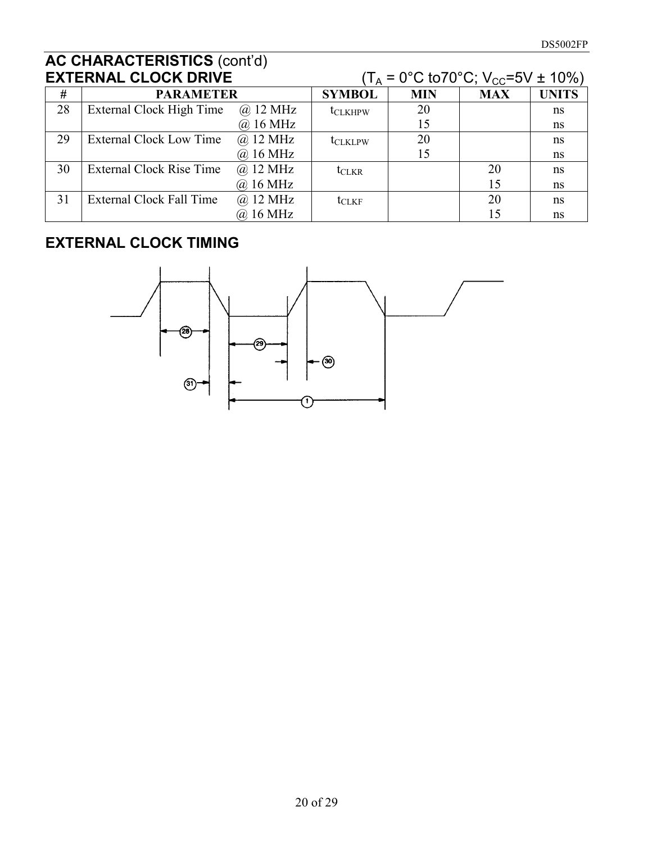| <b>EXTERNAL CLOCK DRIVE</b> |                          |                    |                 |            | $(T_A = 0^{\circ}C \text{ to} 70^{\circ}C; V_{CC} = 5V \pm 10\%)$ |              |
|-----------------------------|--------------------------|--------------------|-----------------|------------|-------------------------------------------------------------------|--------------|
| #                           | <b>PARAMETER</b>         |                    | <b>SYMBOL</b>   | <b>MIN</b> | <b>MAX</b>                                                        | <b>UNITS</b> |
| 28                          | External Clock High Time | $\omega$ 12 MHz    | <b>t</b> CLKHPW | 20         |                                                                   | ns           |
|                             |                          | $@.16 \text{ MHz}$ |                 | 15         |                                                                   | ns           |
| 29                          | External Clock Low Time  | $\omega$ 12 MHz    | <b>ICLKLPW</b>  | 20         |                                                                   | ns           |
|                             |                          | @ 16 MHz           |                 | 15         |                                                                   | ns           |
| 30                          | External Clock Rise Time | @ 12 MHz           | $t_{CLKR}$      |            | 20                                                                | ns           |
|                             |                          | @ 16 MHz           |                 |            | 15                                                                | ns           |
| 31                          | External Clock Fall Time | $\omega$ 12 MHz    | $t_{CLKF}$      |            | 20                                                                | ns           |
|                             |                          | @ 16 MHz           |                 |            | 15                                                                | ns           |

# **EXTERNAL CLOCK TIMING**

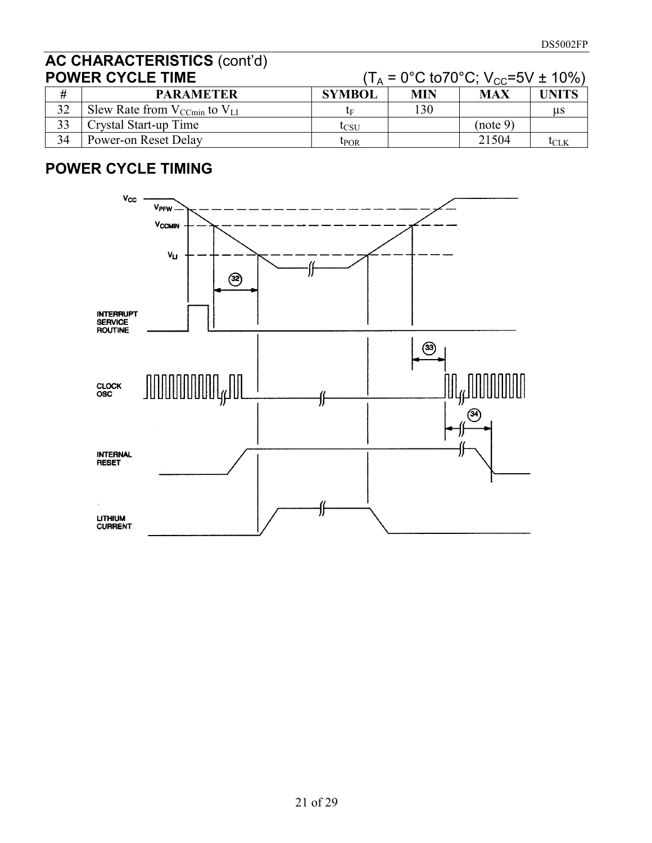|    | <b>POWER CYCLE TIME</b>                  | $(T_A = 0^{\circ}C \text{ to } 70^{\circ}C$ ; V <sub>CC</sub> =5V ± 10%) |     |            |       |  |
|----|------------------------------------------|--------------------------------------------------------------------------|-----|------------|-------|--|
| #  | <b>PARAMETER</b>                         | <b>SYMBOL</b>                                                            | MIN | <b>MAX</b> | UNITS |  |
| 32 | Slew Rate from $V_{C C min}$ to $V_{LI}$ | tг                                                                       | 130 |            | us    |  |
| 33 | Crystal Start-up Time                    | lcsu                                                                     |     | (note 9)   |       |  |
| 34 | Power-on Reset Delay                     | $t_{\rm POR}$                                                            |     | 21504      | tclk  |  |

# **POWER CYCLE TIMING**

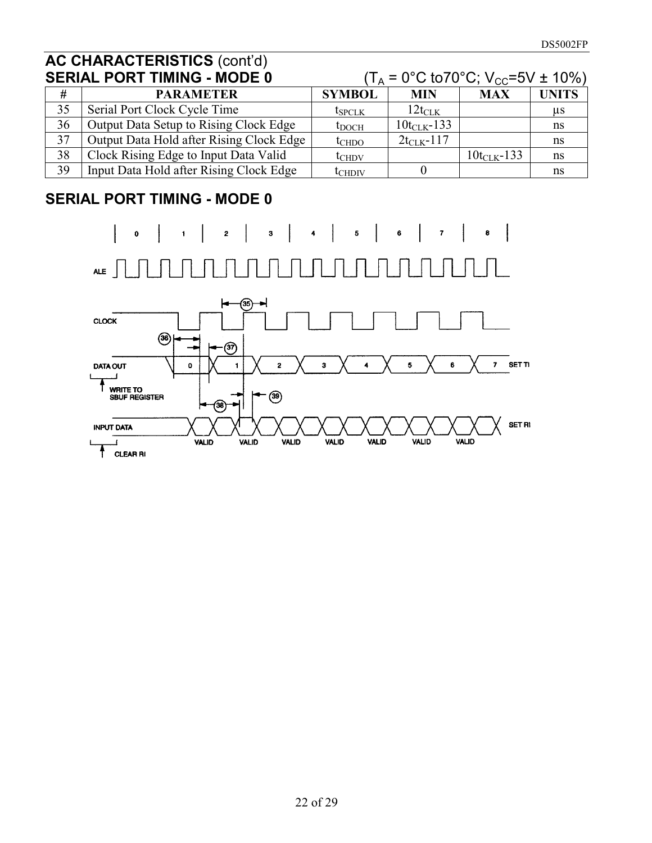| <b>SERIAL PORT TIMING - MODE 0</b> |                                          | $(T_A = 0^{\circ}C \text{ to } 70^{\circ}C; V_{CC} = 5V \pm 10\%)$ |                    |                     |              |
|------------------------------------|------------------------------------------|--------------------------------------------------------------------|--------------------|---------------------|--------------|
| #                                  | <b>PARAMETER</b>                         | <b>SYMBOL</b>                                                      | <b>MIN</b>         | <b>MAX</b>          | <b>UNITS</b> |
| 35                                 | Serial Port Clock Cycle Time             | $t_{SPCLK}$                                                        | $12t_{\text{CLK}}$ |                     | μs           |
| 36                                 | Output Data Setup to Rising Clock Edge   | $t_{\rm DOCH}$                                                     | $10t_{CLK} - 133$  |                     | ns           |
| 37                                 | Output Data Hold after Rising Clock Edge | $t$ CHDO                                                           | $2t_{CLK} - 117$   |                     | ns           |
| 38                                 | Clock Rising Edge to Input Data Valid    | $t_{CHDV}$                                                         |                    | $10t_{C L K} - 133$ | ns           |
| 39                                 | Input Data Hold after Rising Clock Edge  | $\rm t_{CHDIV}$                                                    |                    |                     | ns           |

# **SERIAL PORT TIMING - MODE 0**

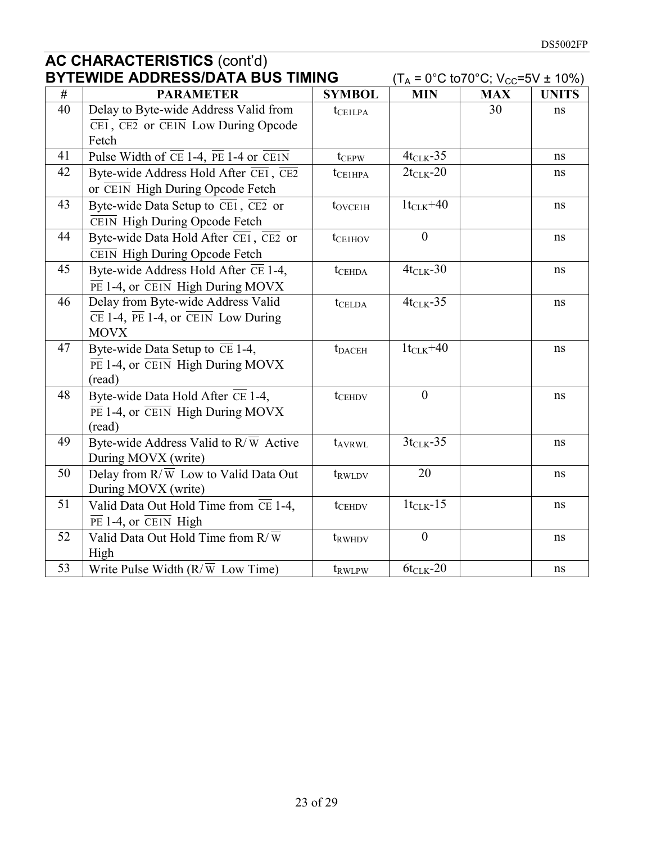| <b>BYTEWIDE ADDRESS/DATA BUS TIMING</b> |                                                                                                 |                     | $(T_A = 0^{\circ}C \text{ to } 70^{\circ}C; V_{CC} = 5V \pm 10\%)$ |            |              |
|-----------------------------------------|-------------------------------------------------------------------------------------------------|---------------------|--------------------------------------------------------------------|------------|--------------|
| #                                       | <b>PARAMETER</b>                                                                                | <b>SYMBOL</b>       | <b>MIN</b>                                                         | <b>MAX</b> | <b>UNITS</b> |
| 40                                      | Delay to Byte-wide Address Valid from                                                           | tcellpa             |                                                                    | 30         | ns           |
|                                         | $\overline{\text{CE1}}$ , $\overline{\text{CE2}}$ or $\overline{\text{CE1N}}$ Low During Opcode |                     |                                                                    |            |              |
|                                         | Fetch                                                                                           |                     |                                                                    |            |              |
| 41                                      | Pulse Width of $\overline{CE}$ 1-4, $\overline{PE}$ 1-4 or CE1N                                 | $t_{CEPW}$          | $4t_{CLK} - 35$                                                    |            | ns           |
| 42                                      | Byte-wide Address Hold After $\overline{CE1}$ , $\overline{CE2}$                                | $t_{\text{CE1HPA}}$ | $2t_{CLK}$ -20                                                     |            | ns           |
|                                         | or CEIN High During Opcode Fetch                                                                |                     |                                                                    |            |              |
| 43                                      | Byte-wide Data Setup to $\overline{CE1}$ , $\overline{CE2}$ or                                  | $t_{\text{OVCE1H}}$ | $1t_{CLK} + 40$                                                    |            | $\rm ns$     |
|                                         | CEIN High During Opcode Fetch                                                                   |                     |                                                                    |            |              |
| 44                                      | Byte-wide Data Hold After $\overline{CE1}$ , $\overline{CE2}$ or                                | $t_{\text{CE1HOV}}$ | $\mathbf{0}$                                                       |            | ns           |
|                                         | CEIN High During Opcode Fetch                                                                   |                     |                                                                    |            |              |
| 45                                      | Byte-wide Address Hold After $\overline{CE}$ 1-4,                                               | $t$ CEHDA           | $4t_{CLK} - 30$                                                    |            | $\rm ns$     |
|                                         | $\overline{PE}$ 1-4, or $\overline{CE1N}$ High During MOVX                                      |                     |                                                                    |            |              |
| 46                                      | Delay from Byte-wide Address Valid                                                              | tcelda              | $4t_{CLK} - 35$                                                    |            | ns           |
|                                         | $\overline{CE}$ 1-4, $\overline{PE}$ 1-4, or $\overline{CE}$ Low During                         |                     |                                                                    |            |              |
|                                         | <b>MOVX</b>                                                                                     |                     |                                                                    |            |              |
| 47                                      | Byte-wide Data Setup to $\overline{CE}$ 1-4,                                                    | $t_{\text{DACEH}}$  | $1t_{CLK} + 40$                                                    |            | ns           |
|                                         | $\overline{PE}$ 1-4, or $\overline{CE1N}$ High During MOVX                                      |                     |                                                                    |            |              |
|                                         | (read)                                                                                          |                     |                                                                    |            |              |
| 48                                      | Byte-wide Data Hold After $\overline{CE}$ 1-4,                                                  | tcEHDV              | $\overline{0}$                                                     |            | ns           |
|                                         | $\overline{PE}$ 1-4, or $\overline{CE1N}$ High During MOVX                                      |                     |                                                                    |            |              |
|                                         | (read)                                                                                          |                     |                                                                    |            |              |
| 49                                      | Byte-wide Address Valid to $R/\overline{W}$ Active                                              | t <sub>AVRWL</sub>  | $3t_{CLK} - 35$                                                    |            | ns           |
|                                         | During MOVX (write)                                                                             |                     |                                                                    |            |              |
| 50                                      | Delay from $R/\overline{W}$ Low to Valid Data Out                                               | t <sub>RWLDV</sub>  | 20                                                                 |            | ns           |
|                                         | During MOVX (write)                                                                             |                     |                                                                    |            |              |
| 51                                      | Valid Data Out Hold Time from $\overline{CE}$ 1-4,                                              | tcehdy              | $1t_{CLK} - 15$                                                    |            | ns           |
|                                         | $\overline{PE}$ 1-4, or $\overline{CE1N}$ High                                                  |                     |                                                                    |            |              |
| 52                                      | Valid Data Out Hold Time from $R/\overline{\overline{W}}$                                       | t <sub>RWHDV</sub>  | $\mathbf{0}$                                                       |            | ns           |
|                                         | High                                                                                            |                     |                                                                    |            |              |
| 53                                      | Write Pulse Width $(R/\overline{W}$ Low Time)                                                   | t <sub>RWLPW</sub>  | $6t_{CLK}$ -20                                                     |            | $\rm ns$     |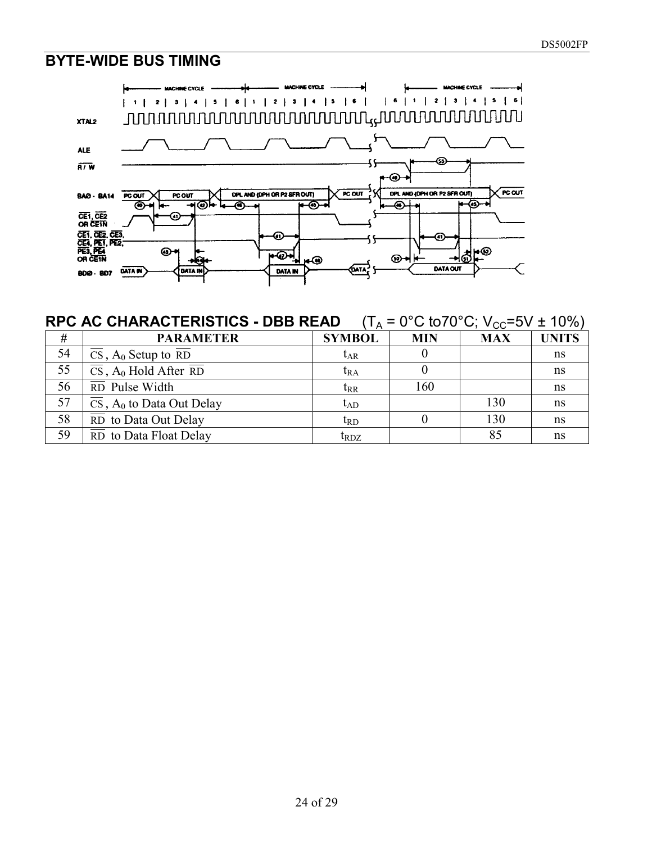#### **BYTE-WIDE BUS TIMING**



#### **RPC AC CHARACTERISTICS - DBB READ**  $(T_A = 0^{\circ}C \text{ to } 70^{\circ}C; V_{CC} = 5V \pm 10\%)$

| #  | <b>PARAMETER</b>                                            | <b>SYMBOL</b>                                   | <b>MIN</b> | <b>MAX</b> | <b>UNITS</b> |
|----|-------------------------------------------------------------|-------------------------------------------------|------------|------------|--------------|
| 54 | $\overline{CS}$ , $A_0$ Setup to RD                         | $t_{AR}$                                        |            |            | ns           |
| 55 | $\overline{CS}$ , A <sub>0</sub> Hold After $\overline{RD}$ | $t_{RA}$                                        |            |            | ns           |
| 56 | $\overline{RD}$ Pulse Width                                 | $t_{RR}$                                        | 160        |            | ns           |
| 57 | $\overline{CS}$ , A <sub>0</sub> to Data Out Delay          | $t_{AD}$                                        |            | 130        | ns           |
| 58 | $\overline{RD}$ to Data Out Delay                           | $\mathrm{t_{RD}}$                               |            | 130        | ns           |
| 59 | $\overline{RD}$ to Data Float Delay                         | $\mathfrak{t}_{\mathrm{R}\mathrm{D}\mathrm{Z}}$ |            | 85         | ns           |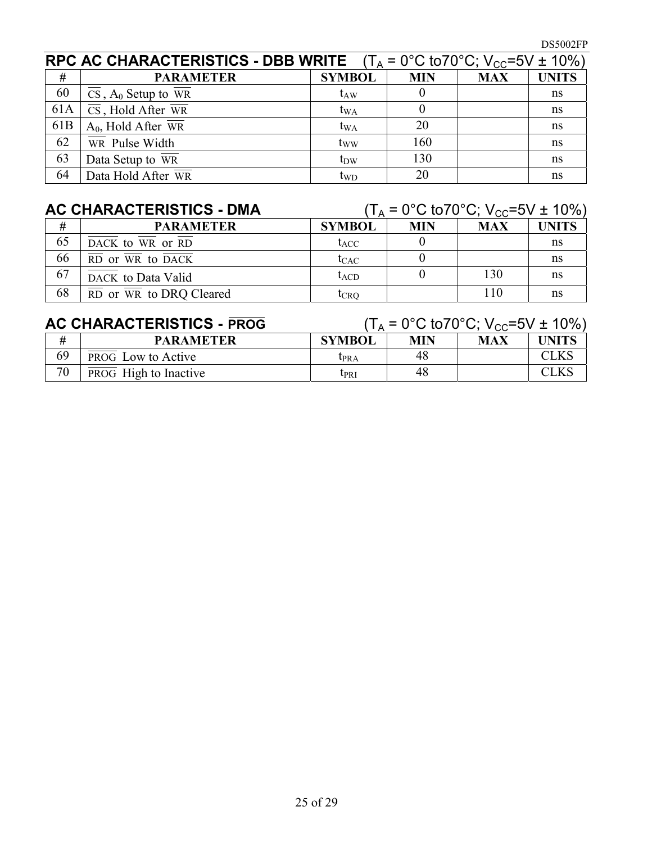|                 | <b>RPC AC CHARACTERISTICS - DBB WRITE</b> $(T_A = 0^{\circ}C \text{ to } 70^{\circ}C; V_{CC} = 5V \pm 10\%)$ |               |            |            |              |
|-----------------|--------------------------------------------------------------------------------------------------------------|---------------|------------|------------|--------------|
| #               | <b>PARAMETER</b>                                                                                             | <b>SYMBOL</b> | <b>MIN</b> | <b>MAX</b> | <b>UNITS</b> |
| 60              | $\overline{\text{CS}}$ , A <sub>0</sub> Setup to $\overline{\text{WR}}$                                      | $t_{AW}$      |            |            | ns           |
| 61A             | $\overline{\text{CS}}$ , Hold After $\overline{\text{WR}}$                                                   | $t_{WA}$      |            |            | ns           |
| 61 <sub>B</sub> | $A_0$ , Hold After WR                                                                                        | $t_{WA}$      | 20         |            | ns           |
| 62              | $\overline{WR}$ Pulse Width                                                                                  | tww           | 160        |            | ns           |
| 63              | Data Setup to $\overline{WR}$                                                                                | $t_{DW}$      | 130        |            | ns           |
| 64              | Data Hold After WR                                                                                           | $t_{WD}$      | 20         |            | ns           |

| <b>AC CHARACTERISTICS - DMA</b> |                                                         | $(T_A = 0^{\circ}C \text{ to } 70^{\circ}C$ ; $V_{CC} = 5V \pm 10\%)$ |            |            |              |
|---------------------------------|---------------------------------------------------------|-----------------------------------------------------------------------|------------|------------|--------------|
| #                               | <b>PARAMETER</b>                                        | <b>SYMBOL</b>                                                         | <b>MIN</b> | <b>MAX</b> | <b>UNITS</b> |
| 65                              | DACK to WR or RD                                        | $t_{ACC}$                                                             |            |            | ns           |
| 66                              | $\overline{RD}$ or $\overline{WR}$ to $\overline{DACK}$ | $t_{CAC}$                                                             |            |            | ns           |
| 67                              | DACK to Data Valid                                      | $t_{\rm ACD}$                                                         |            | 130        | ns           |
| 68                              | $\overline{RD}$ or WR to DRQ Cleared                    | tcro                                                                  |            | 110        | ns           |

# **AC CHARACTERISTICS - PROG**  $(T_A = 0^{\circ}C \text{ to } 70^{\circ}C; V_{CC} = 5V \pm 10\%)$

|    | <b>PARAMETER</b>             | <b>SYMBOL</b>    | MIN | <b>MAX</b> | <b>UNITS</b> |
|----|------------------------------|------------------|-----|------------|--------------|
| 69 | <b>PROG</b> Low to Active    | L <sub>PRA</sub> | 48  |            | CLKS         |
| 70 | <b>PROG</b> High to Inactive | Ipri             | 48  |            | CLKS         |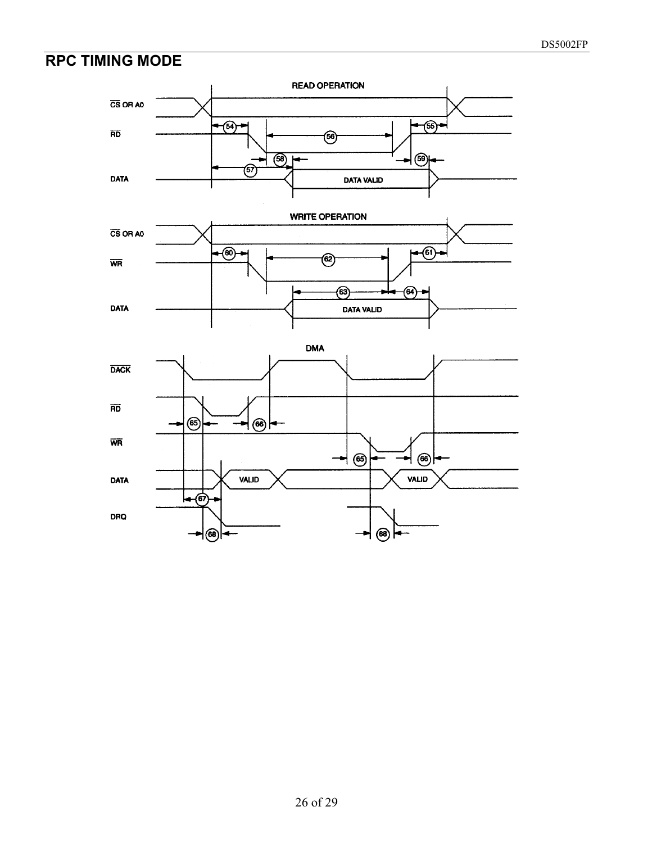# **RPC TIMING MODE**

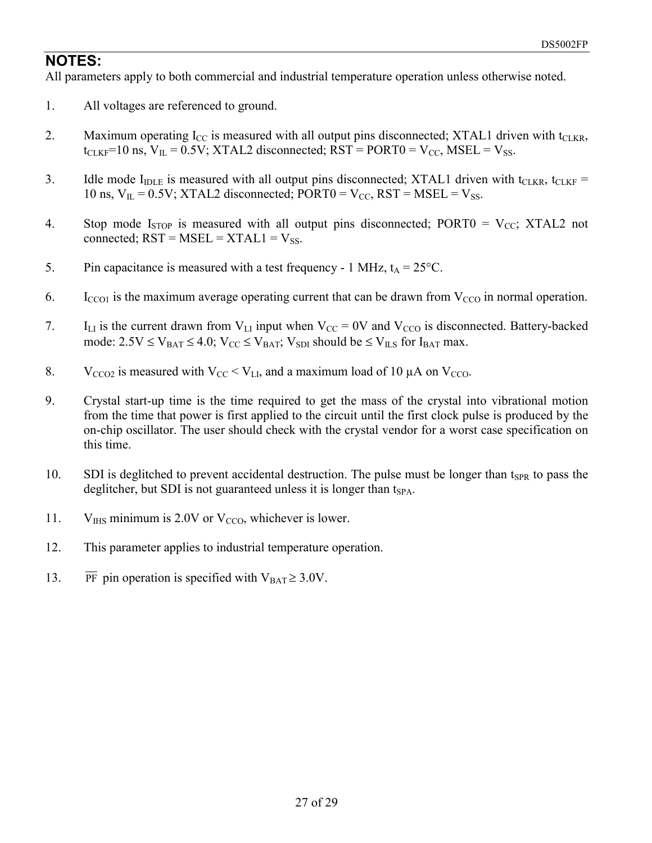#### **NOTES:**

All parameters apply to both commercial and industrial temperature operation unless otherwise noted.

- 1. All voltages are referenced to ground.
- 2. Maximum operating  $I_{CC}$  is measured with all output pins disconnected; XTAL1 driven with  $t_{CIKR}$ ,  $t_{CLKF}$ =10 ns,  $V_{IL}$  = 0.5V; XTAL2 disconnected; RST = PORT0 = V<sub>CC</sub>, MSEL = V<sub>SS</sub>.
- 3. Idle mode  $I_{\text{IDLE}}$  is measured with all output pins disconnected; XTAL1 driven with  $t_{\text{CLKR}}$ ,  $t_{\text{CLKF}}$  = 10 ns,  $V_{II} = 0.5V$ ; XTAL2 disconnected; PORT0 =  $V_{CC}$ , RST = MSEL =  $V_{SS}$ .
- 4. Stop mode  $I_{STOP}$  is measured with all output pins disconnected; PORT0 =  $V_{CC}$ ; XTAL2 not connected;  $RST = MSE = XTAL1 = V_{SS}$ .
- 5. Pin capacitance is measured with a test frequency 1 MHz,  $t_A = 25^{\circ}$ C.
- 6. I<sub>CCO1</sub> is the maximum average operating current that can be drawn from  $V_{CCO}$  in normal operation.
- 7. I<sub>LI</sub> is the current drawn from  $V_{LI}$  input when  $V_{CC} = 0V$  and  $V_{CCO}$  is disconnected. Battery-backed mode:  $2.5V \le V_{BAT} \le 4.0$ ;  $V_{CC} \le V_{BAT}$ ;  $V_{SDI}$  should be  $\le V_{ILS}$  for I<sub>BAT</sub> max.
- 8. V<sub>CCO2</sub> is measured with  $V_{CC} < V_{LL}$ , and a maximum load of 10  $\mu$ A on V<sub>CCO</sub>.
- 9. Crystal start-up time is the time required to get the mass of the crystal into vibrational motion from the time that power is first applied to the circuit until the first clock pulse is produced by the on-chip oscillator. The user should check with the crystal vendor for a worst case specification on this time.
- 10. SDI is deglitched to prevent accidental destruction. The pulse must be longer than  $t_{SPR}$  to pass the deglitcher, but SDI is not guaranteed unless it is longer than  $t_{SPA}$ .
- 11. V<sub>IHS</sub> minimum is 2.0V or  $V_{CCO}$ , whichever is lower.
- 12. This parameter applies to industrial temperature operation.
- 13. PF pin operation is specified with  $V_{BAT} \ge 3.0V$ .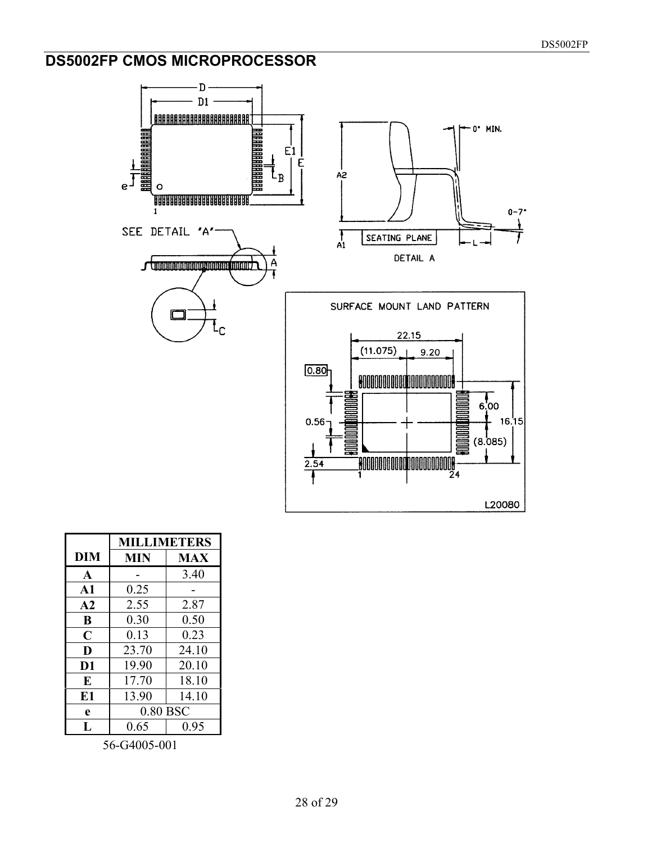## **DS5002FP CMOS MICROPROCESSOR**



|               | <b>MILLIMETERS</b> |            |  |
|---------------|--------------------|------------|--|
| <b>DIM</b>    | <b>MIN</b>         | <b>MAX</b> |  |
| $\mathbf{A}$  |                    | 3.40       |  |
| $\mathbf{A1}$ | 0.25               |            |  |
| A2            | 2.55               | 2.87       |  |
| B             | 0.30               | 0.50       |  |
| $\mathbf C$   | 0.13               | 0.23       |  |
| D             | 23.70              | 24.10      |  |
| D1            | 19.90              | 20.10      |  |
| E             | 17.70              | 18.10      |  |
| E1            | 13.90              | 14.10      |  |
| e             | 0.80 BSC           |            |  |
| Ι.            | 0.65               | 0.95       |  |

56-G4005-001